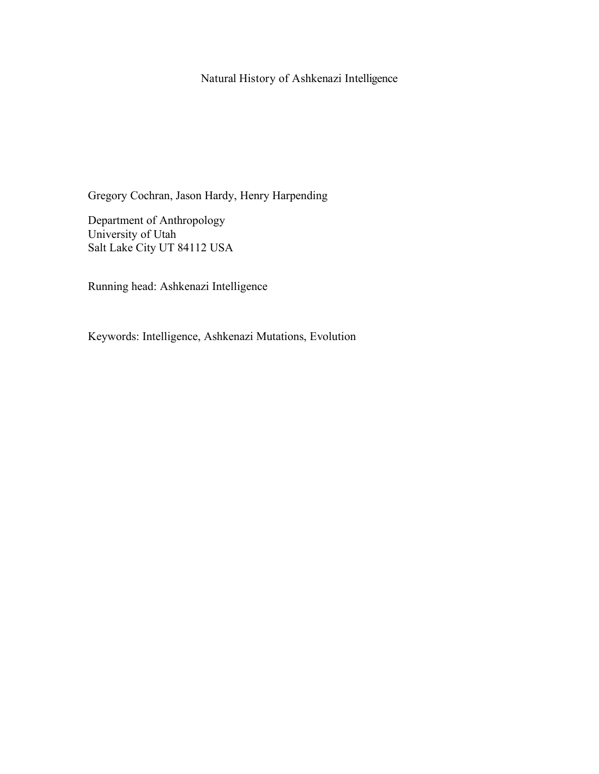Natural History of Ashkenazi Intelligence

Gregory Cochran, Jason Hardy, Henry Harpending

Department of Anthropology University of Utah Salt Lake City UT 84112 USA

Running head: Ashkenazi Intelligence

Keywords: Intelligence, Ashkenazi Mutations, Evolution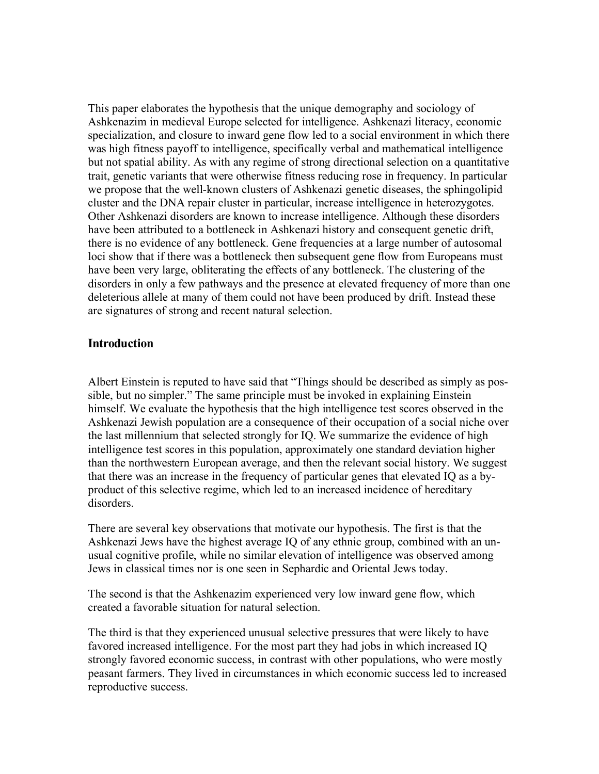This paper elaborates the hypothesis that the unique demography and sociology of Ashkenazim in medieval Europe selected for intelligence. Ashkenazi literacy, economic specialization, and closure to inward gene flow led to a social environment in which there was high fitness payoff to intelligence, specifically verbal and mathematical intelligence but not spatial ability. As with any regime of strong directional selection on a quantitative trait, genetic variants that were otherwise fitness reducing rose in frequency. In particular we propose that the well-known clusters of Ashkenazi genetic diseases, the sphingolipid cluster and the DNA repair cluster in particular, increase intelligence in heterozygotes. Other Ashkenazi disorders are known to increase intelligence. Although these disorders have been attributed to a bottleneck in Ashkenazi history and consequent genetic drift, there is no evidence of any bottleneck. Gene frequencies at a large number of autosomal loci show that if there was a bottleneck then subsequent gene flow from Europeans must have been very large, obliterating the effects of any bottleneck. The clustering of the disorders in only a few pathways and the presence at elevated frequency of more than one deleterious allele at many of them could not have been produced by drift. Instead these are signatures of strong and recent natural selection.

#### **Introduction**

Albert Einstein is reputed to have said that "Things should be described as simply as possible, but no simpler." The same principle must be invoked in explaining Einstein himself. We evaluate the hypothesis that the high intelligence test scores observed in the Ashkenazi Jewish population are a consequence of their occupation of a social niche over the last millennium that selected strongly for IQ. We summarize the evidence of high intelligence test scores in this population, approximately one standard deviation higher than the northwestern European average, and then the relevant social history. We suggest that there was an increase in the frequency of particular genes that elevated IQ as a byproduct of this selective regime, which led to an increased incidence of hereditary disorders.

There are several key observations that motivate our hypothesis. The first is that the Ashkenazi Jews have the highest average IQ of any ethnic group, combined with an unusual cognitive profile, while no similar elevation of intelligence was observed among Jews in classical times nor is one seen in Sephardic and Oriental Jews today.

The second is that the Ashkenazim experienced very low inward gene flow, which created a favorable situation for natural selection.

The third is that they experienced unusual selective pressures that were likely to have favored increased intelligence. For the most part they had jobs in which increased IQ strongly favored economic success, in contrast with other populations, who were mostly peasant farmers. They lived in circumstances in which economic success led to increased reproductive success.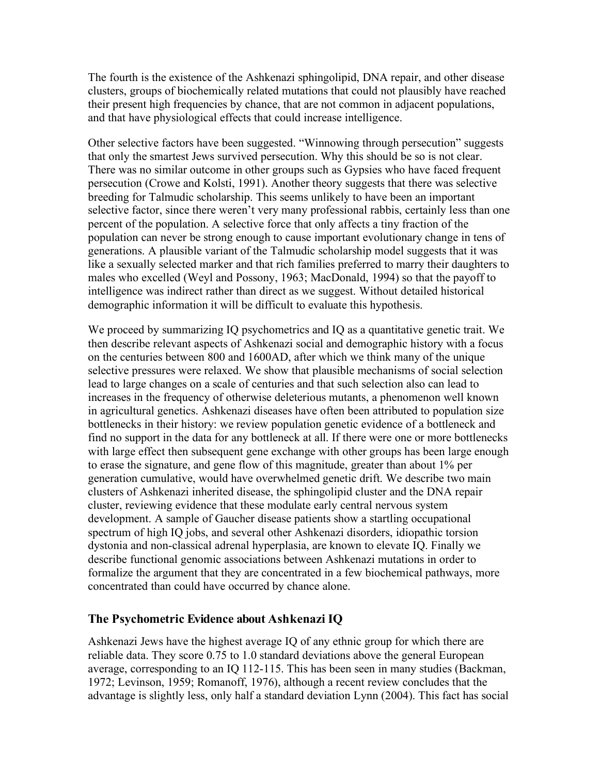The fourth is the existence of the Ashkenazi sphingolipid, DNA repair, and other disease clusters, groups of biochemically related mutations that could not plausibly have reached their present high frequencies by chance, that are not common in adjacent populations, and that have physiological effects that could increase intelligence.

Other selective factors have been suggested. "Winnowing through persecution" suggests that only the smartest Jews survived persecution. Why this should be so is not clear. There was no similar outcome in other groups such as Gypsies who have faced frequent persecution (Crowe and Kolsti, 1991). Another theory suggests that there was selective breeding for Talmudic scholarship. This seems unlikely to have been an important selective factor, since there weren't very many professional rabbis, certainly less than one percent of the population. A selective force that only affects a tiny fraction of the population can never be strong enough to cause important evolutionary change in tens of generations. A plausible variant of the Talmudic scholarship model suggests that it was like a sexually selected marker and that rich families preferred to marry their daughters to males who excelled (Weyl and Possony, 1963; MacDonald, 1994) so that the payoff to intelligence was indirect rather than direct as we suggest. Without detailed historical demographic information it will be difficult to evaluate this hypothesis.

We proceed by summarizing IQ psychometrics and IQ as a quantitative genetic trait. We then describe relevant aspects of Ashkenazi social and demographic history with a focus on the centuries between 800 and 1600AD, after which we think many of the unique selective pressures were relaxed. We show that plausible mechanisms of social selection lead to large changes on a scale of centuries and that such selection also can lead to increases in the frequency of otherwise deleterious mutants, a phenomenon well known in agricultural genetics. Ashkenazi diseases have often been attributed to population size bottlenecks in their history: we review population genetic evidence of a bottleneck and find no support in the data for any bottleneck at all. If there were one or more bottlenecks with large effect then subsequent gene exchange with other groups has been large enough to erase the signature, and gene flow of this magnitude, greater than about 1% per generation cumulative, would have overwhelmed genetic drift. We describe two main clusters of Ashkenazi inherited disease, the sphingolipid cluster and the DNA repair cluster, reviewing evidence that these modulate early central nervous system development. A sample of Gaucher disease patients show a startling occupational spectrum of high IQ jobs, and several other Ashkenazi disorders, idiopathic torsion dystonia and non-classical adrenal hyperplasia, are known to elevate IQ. Finally we describe functional genomic associations between Ashkenazi mutations in order to formalize the argument that they are concentrated in a few biochemical pathways, more concentrated than could have occurred by chance alone.

#### **The Psychometric Evidence about Ashkenazi IQ**

Ashkenazi Jews have the highest average IQ of any ethnic group for which there are reliable data. They score 0.75 to 1.0 standard deviations above the general European average, corresponding to an IQ 112-115. This has been seen in many studies (Backman, 1972; Levinson, 1959; Romanoff, 1976), although a recent review concludes that the advantage is slightly less, only half a standard deviation Lynn (2004). This fact has social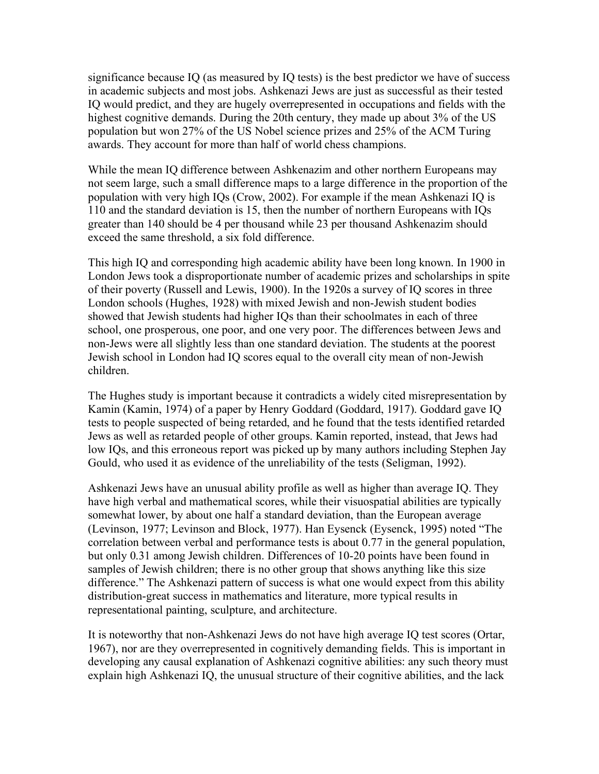significance because IQ (as measured by IQ tests) is the best predictor we have of success in academic subjects and most jobs. Ashkenazi Jews are just as successful as their tested IQ would predict, and they are hugely overrepresented in occupations and fields with the highest cognitive demands. During the 20th century, they made up about 3% of the US population but won 27% of the US Nobel science prizes and 25% of the ACM Turing awards. They account for more than half of world chess champions.

While the mean IQ difference between Ashkenazim and other northern Europeans may not seem large, such a small difference maps to a large difference in the proportion of the population with very high IQs (Crow, 2002). For example if the mean Ashkenazi IQ is 110 and the standard deviation is 15, then the number of northern Europeans with IQs greater than 140 should be 4 per thousand while 23 per thousand Ashkenazim should exceed the same threshold, a six fold difference.

This high IQ and corresponding high academic ability have been long known. In 1900 in London Jews took a disproportionate number of academic prizes and scholarships in spite of their poverty (Russell and Lewis, 1900). In the 1920s a survey of IQ scores in three London schools (Hughes, 1928) with mixed Jewish and non-Jewish student bodies showed that Jewish students had higher IQs than their schoolmates in each of three school, one prosperous, one poor, and one very poor. The differences between Jews and non-Jews were all slightly less than one standard deviation. The students at the poorest Jewish school in London had IQ scores equal to the overall city mean of non-Jewish children.

The Hughes study is important because it contradicts a widely cited misrepresentation by Kamin (Kamin, 1974) of a paper by Henry Goddard (Goddard, 1917). Goddard gave IQ tests to people suspected of being retarded, and he found that the tests identified retarded Jews as well as retarded people of other groups. Kamin reported, instead, that Jews had low IQs, and this erroneous report was picked up by many authors including Stephen Jay Gould, who used it as evidence of the unreliability of the tests (Seligman, 1992).

Ashkenazi Jews have an unusual ability profile as well as higher than average IQ. They have high verbal and mathematical scores, while their visuospatial abilities are typically somewhat lower, by about one half a standard deviation, than the European average (Levinson, 1977; Levinson and Block, 1977). Han Eysenck (Eysenck, 1995) noted "The correlation between verbal and performance tests is about 0.77 in the general population, but only 0.31 among Jewish children. Differences of 10-20 points have been found in samples of Jewish children; there is no other group that shows anything like this size difference." The Ashkenazi pattern of success is what one would expect from this ability distribution-great success in mathematics and literature, more typical results in representational painting, sculpture, and architecture.

It is noteworthy that non-Ashkenazi Jews do not have high average IQ test scores (Ortar, 1967), nor are they overrepresented in cognitively demanding fields. This is important in developing any causal explanation of Ashkenazi cognitive abilities: any such theory must explain high Ashkenazi IQ, the unusual structure of their cognitive abilities, and the lack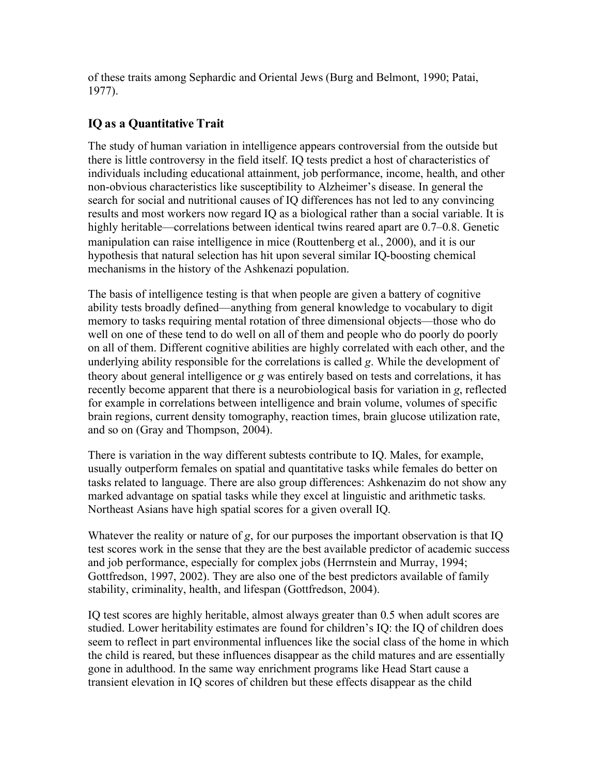of these traits among Sephardic and Oriental Jews (Burg and Belmont, 1990; Patai, 1977).

# **IQ as a Quantitative Trait**

The study of human variation in intelligence appears controversial from the outside but there is little controversy in the field itself. IQ tests predict a host of characteristics of individuals including educational attainment, job performance, income, health, and other non-obvious characteristics like susceptibility to Alzheimer's disease. In general the search for social and nutritional causes of IQ differences has not led to any convincing results and most workers now regard IQ as a biological rather than a social variable. It is highly heritable—correlations between identical twins reared apart are 0.7–0.8. Genetic manipulation can raise intelligence in mice (Routtenberg et al., 2000), and it is our hypothesis that natural selection has hit upon several similar IQ-boosting chemical mechanisms in the history of the Ashkenazi population.

The basis of intelligence testing is that when people are given a battery of cognitive ability tests broadly defined—anything from general knowledge to vocabulary to digit memory to tasks requiring mental rotation of three dimensional objects—those who do well on one of these tend to do well on all of them and people who do poorly do poorly on all of them. Different cognitive abilities are highly correlated with each other, and the underlying ability responsible for the correlations is called *g*. While the development of theory about general intelligence or *g* was entirely based on tests and correlations, it has recently become apparent that there is a neurobiological basis for variation in *g*, reflected for example in correlations between intelligence and brain volume, volumes of specific brain regions, current density tomography, reaction times, brain glucose utilization rate, and so on (Gray and Thompson, 2004).

There is variation in the way different subtests contribute to IQ. Males, for example, usually outperform females on spatial and quantitative tasks while females do better on tasks related to language. There are also group differences: Ashkenazim do not show any marked advantage on spatial tasks while they excel at linguistic and arithmetic tasks. Northeast Asians have high spatial scores for a given overall IQ.

Whatever the reality or nature of *g*, for our purposes the important observation is that IQ test scores work in the sense that they are the best available predictor of academic success and job performance, especially for complex jobs (Herrnstein and Murray, 1994; Gottfredson, 1997, 2002). They are also one of the best predictors available of family stability, criminality, health, and lifespan (Gottfredson, 2004).

IQ test scores are highly heritable, almost always greater than 0.5 when adult scores are studied. Lower heritability estimates are found for children's IQ: the IQ of children does seem to reflect in part environmental influences like the social class of the home in which the child is reared, but these influences disappear as the child matures and are essentially gone in adulthood. In the same way enrichment programs like Head Start cause a transient elevation in IQ scores of children but these effects disappear as the child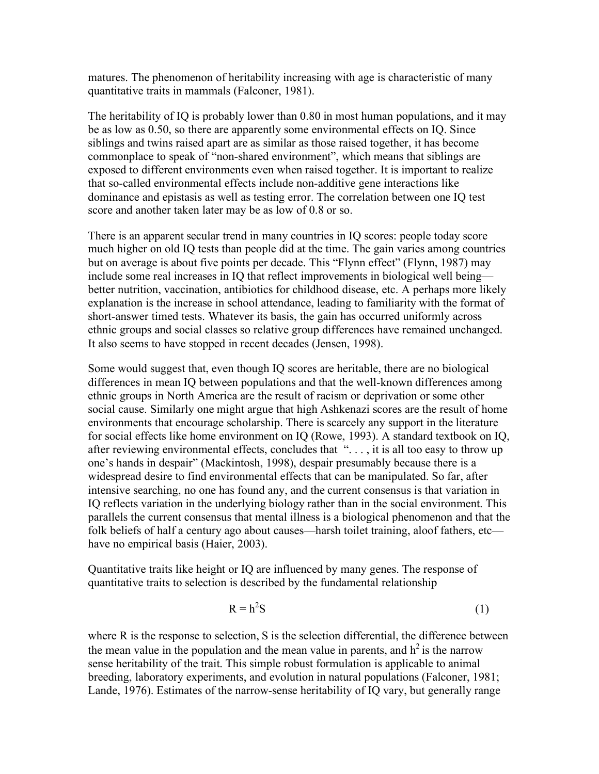matures. The phenomenon of heritability increasing with age is characteristic of many quantitative traits in mammals (Falconer, 1981).

The heritability of IQ is probably lower than 0.80 in most human populations, and it may be as low as 0.50, so there are apparently some environmental effects on IQ. Since siblings and twins raised apart are as similar as those raised together, it has become commonplace to speak of "non-shared environment", which means that siblings are exposed to different environments even when raised together. It is important to realize that so-called environmental effects include non-additive gene interactions like dominance and epistasis as well as testing error. The correlation between one IQ test score and another taken later may be as low of 0.8 or so.

There is an apparent secular trend in many countries in IQ scores: people today score much higher on old IQ tests than people did at the time. The gain varies among countries but on average is about five points per decade. This "Flynn effect" (Flynn, 1987) may include some real increases in IQ that reflect improvements in biological well being better nutrition, vaccination, antibiotics for childhood disease, etc. A perhaps more likely explanation is the increase in school attendance, leading to familiarity with the format of short-answer timed tests. Whatever its basis, the gain has occurred uniformly across ethnic groups and social classes so relative group differences have remained unchanged. It also seems to have stopped in recent decades (Jensen, 1998).

Some would suggest that, even though IQ scores are heritable, there are no biological differences in mean IQ between populations and that the well-known differences among ethnic groups in North America are the result of racism or deprivation or some other social cause. Similarly one might argue that high Ashkenazi scores are the result of home environments that encourage scholarship. There is scarcely any support in the literature for social effects like home environment on IQ (Rowe, 1993). A standard textbook on IQ, after reviewing environmental effects, concludes that "..., it is all too easy to throw up one's hands in despair" (Mackintosh, 1998), despair presumably because there is a widespread desire to find environmental effects that can be manipulated. So far, after intensive searching, no one has found any, and the current consensus is that variation in IQ reflects variation in the underlying biology rather than in the social environment. This parallels the current consensus that mental illness is a biological phenomenon and that the folk beliefs of half a century ago about causes—harsh toilet training, aloof fathers, etc have no empirical basis (Haier, 2003).

Quantitative traits like height or IQ are influenced by many genes. The response of quantitative traits to selection is described by the fundamental relationship

$$
R = h^2 S \tag{1}
$$

where R is the response to selection, S is the selection differential, the difference between the mean value in the population and the mean value in parents, and  $h^2$  is the narrow sense heritability of the trait. This simple robust formulation is applicable to animal breeding, laboratory experiments, and evolution in natural populations (Falconer, 1981; Lande, 1976). Estimates of the narrow-sense heritability of IQ vary, but generally range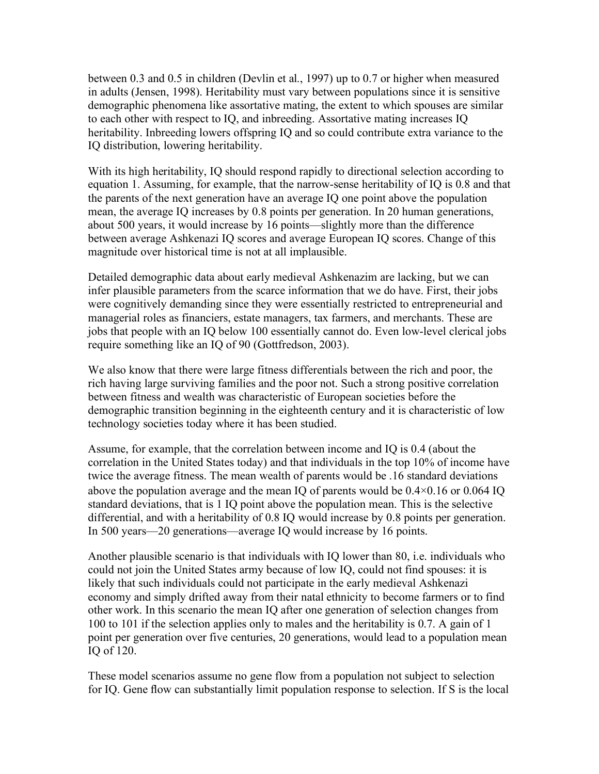between 0.3 and 0.5 in children (Devlin et al., 1997) up to 0.7 or higher when measured in adults (Jensen, 1998). Heritability must vary between populations since it is sensitive demographic phenomena like assortative mating, the extent to which spouses are similar to each other with respect to IQ, and inbreeding. Assortative mating increases IQ heritability. Inbreeding lowers offspring IQ and so could contribute extra variance to the IQ distribution, lowering heritability.

With its high heritability, IQ should respond rapidly to directional selection according to equation 1. Assuming, for example, that the narrow-sense heritability of IQ is 0.8 and that the parents of the next generation have an average IQ one point above the population mean, the average IQ increases by 0.8 points per generation. In 20 human generations, about 500 years, it would increase by 16 points—slightly more than the difference between average Ashkenazi IQ scores and average European IQ scores. Change of this magnitude over historical time is not at all implausible.

Detailed demographic data about early medieval Ashkenazim are lacking, but we can infer plausible parameters from the scarce information that we do have. First, their jobs were cognitively demanding since they were essentially restricted to entrepreneurial and managerial roles as financiers, estate managers, tax farmers, and merchants. These are jobs that people with an IQ below 100 essentially cannot do. Even low-level clerical jobs require something like an IQ of 90 (Gottfredson, 2003).

We also know that there were large fitness differentials between the rich and poor, the rich having large surviving families and the poor not. Such a strong positive correlation between fitness and wealth was characteristic of European societies before the demographic transition beginning in the eighteenth century and it is characteristic of low technology societies today where it has been studied.

Assume, for example, that the correlation between income and IQ is 0.4 (about the correlation in the United States today) and that individuals in the top 10% of income have twice the average fitness. The mean wealth of parents would be .16 standard deviations above the population average and the mean IQ of parents would be 0.4×0.16 or 0.064 IQ standard deviations, that is 1 IQ point above the population mean. This is the selective differential, and with a heritability of 0.8 IQ would increase by 0.8 points per generation. In 500 years—20 generations—average IQ would increase by 16 points.

Another plausible scenario is that individuals with IQ lower than 80, i.e. individuals who could not join the United States army because of low IQ, could not find spouses: it is likely that such individuals could not participate in the early medieval Ashkenazi economy and simply drifted away from their natal ethnicity to become farmers or to find other work. In this scenario the mean IQ after one generation of selection changes from 100 to 101 if the selection applies only to males and the heritability is 0.7. A gain of 1 point per generation over five centuries, 20 generations, would lead to a population mean IQ of 120.

These model scenarios assume no gene flow from a population not subject to selection for IQ. Gene flow can substantially limit population response to selection. If S is the local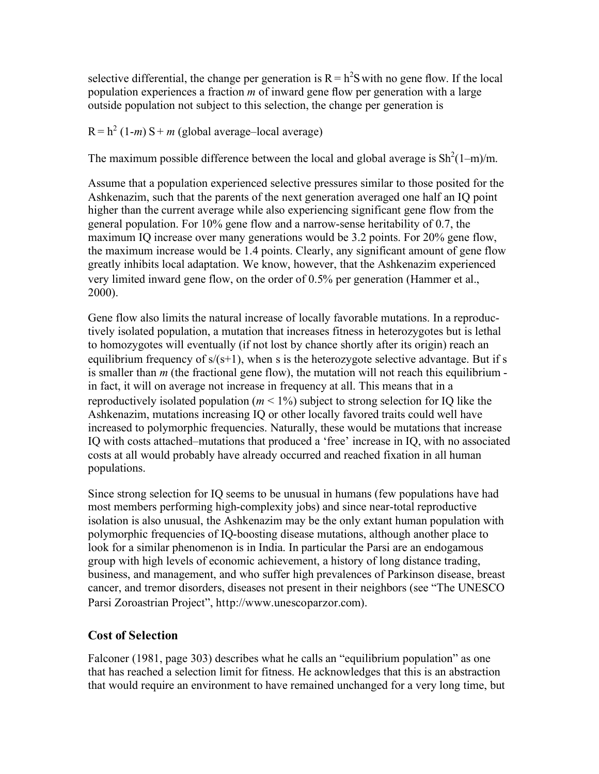selective differential, the change per generation is  $R = h^2S$  with no gene flow. If the local population experiences a fraction *m* of inward gene flow per generation with a large outside population not subject to this selection, the change per generation is

 $R = h^2 (1-m) S + m$  (global average–local average)

The maximum possible difference between the local and global average is  $\text{Sh}^2(1-m)/\text{m}$ .

Assume that a population experienced selective pressures similar to those posited for the Ashkenazim, such that the parents of the next generation averaged one half an IQ point higher than the current average while also experiencing significant gene flow from the general population. For 10% gene flow and a narrow-sense heritability of 0.7, the maximum IQ increase over many generations would be 3.2 points. For 20% gene flow, the maximum increase would be 1.4 points. Clearly, any significant amount of gene flow greatly inhibits local adaptation. We know, however, that the Ashkenazim experienced very limited inward gene flow, on the order of 0.5% per generation (Hammer et al., 2000).

Gene flow also limits the natural increase of locally favorable mutations. In a reproductively isolated population, a mutation that increases fitness in heterozygotes but is lethal to homozygotes will eventually (if not lost by chance shortly after its origin) reach an equilibrium frequency of  $s/(s+1)$ , when s is the heterozygote selective advantage. But if s is smaller than *m* (the fractional gene flow), the mutation will not reach this equilibrium in fact, it will on average not increase in frequency at all. This means that in a reproductively isolated population  $(m < 1\%)$  subject to strong selection for IO like the Ashkenazim, mutations increasing IQ or other locally favored traits could well have increased to polymorphic frequencies. Naturally, these would be mutations that increase IQ with costs attached–mutations that produced a 'free' increase in IQ, with no associated costs at all would probably have already occurred and reached fixation in all human populations.

Since strong selection for IQ seems to be unusual in humans (few populations have had most members performing high-complexity jobs) and since near-total reproductive isolation is also unusual, the Ashkenazim may be the only extant human population with polymorphic frequencies of IQ-boosting disease mutations, although another place to look for a similar phenomenon is in India. In particular the Parsi are an endogamous group with high levels of economic achievement, a history of long distance trading, business, and management, and who suffer high prevalences of Parkinson disease, breast cancer, and tremor disorders, diseases not present in their neighbors (see "The UNESCO Parsi Zoroastrian Project", http://www.unescoparzor.com).

## **Cost of Selection**

Falconer (1981, page 303) describes what he calls an "equilibrium population" as one that has reached a selection limit for fitness. He acknowledges that this is an abstraction that would require an environment to have remained unchanged for a very long time, but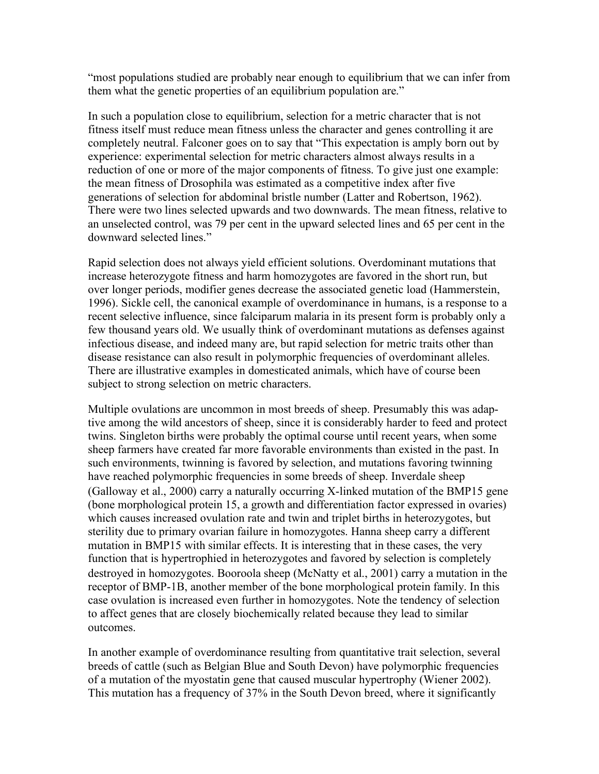"most populations studied are probably near enough to equilibrium that we can infer from them what the genetic properties of an equilibrium population are."

In such a population close to equilibrium, selection for a metric character that is not fitness itself must reduce mean fitness unless the character and genes controlling it are completely neutral. Falconer goes on to say that "This expectation is amply born out by experience: experimental selection for metric characters almost always results in a reduction of one or more of the major components of fitness. To give just one example: the mean fitness of Drosophila was estimated as a competitive index after five generations of selection for abdominal bristle number (Latter and Robertson, 1962). There were two lines selected upwards and two downwards. The mean fitness, relative to an unselected control, was 79 per cent in the upward selected lines and 65 per cent in the downward selected lines."

Rapid selection does not always yield efficient solutions. Overdominant mutations that increase heterozygote fitness and harm homozygotes are favored in the short run, but over longer periods, modifier genes decrease the associated genetic load (Hammerstein, 1996). Sickle cell, the canonical example of overdominance in humans, is a response to a recent selective influence, since falciparum malaria in its present form is probably only a few thousand years old. We usually think of overdominant mutations as defenses against infectious disease, and indeed many are, but rapid selection for metric traits other than disease resistance can also result in polymorphic frequencies of overdominant alleles. There are illustrative examples in domesticated animals, which have of course been subject to strong selection on metric characters.

Multiple ovulations are uncommon in most breeds of sheep. Presumably this was adaptive among the wild ancestors of sheep, since it is considerably harder to feed and protect twins. Singleton births were probably the optimal course until recent years, when some sheep farmers have created far more favorable environments than existed in the past. In such environments, twinning is favored by selection, and mutations favoring twinning have reached polymorphic frequencies in some breeds of sheep. Inverdale sheep (Galloway et al., 2000) carry a naturally occurring X-linked mutation of the BMP15 gene (bone morphological protein 15, a growth and differentiation factor expressed in ovaries) which causes increased ovulation rate and twin and triplet births in heterozygotes, but sterility due to primary ovarian failure in homozygotes. Hanna sheep carry a different mutation in BMP15 with similar effects. It is interesting that in these cases, the very function that is hypertrophied in heterozygotes and favored by selection is completely destroyed in homozygotes. Booroola sheep (McNatty et al., 2001) carry a mutation in the receptor of BMP-1B, another member of the bone morphological protein family. In this case ovulation is increased even further in homozygotes. Note the tendency of selection to affect genes that are closely biochemically related because they lead to similar outcomes.

In another example of overdominance resulting from quantitative trait selection, several breeds of cattle (such as Belgian Blue and South Devon) have polymorphic frequencies of a mutation of the myostatin gene that caused muscular hypertrophy (Wiener 2002). This mutation has a frequency of 37% in the South Devon breed, where it significantly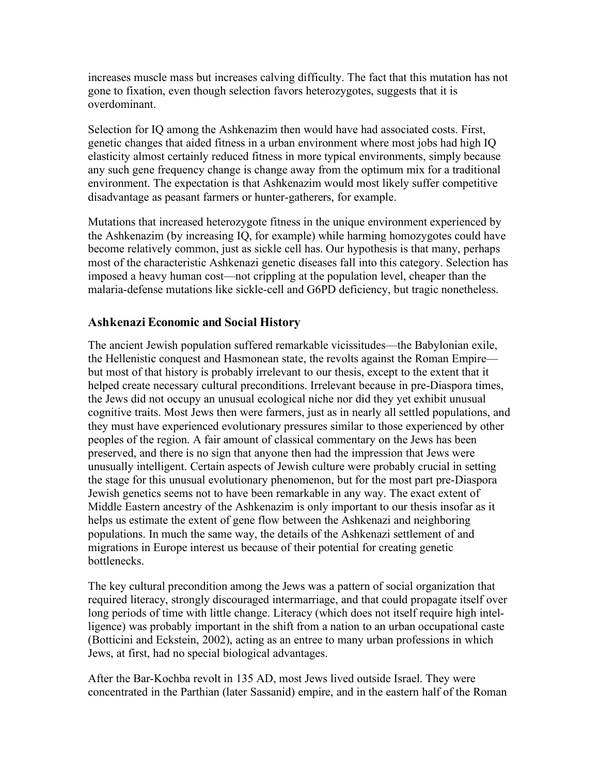increases muscle mass but increases calving difficulty. The fact that this mutation has not gone to fixation, even though selection favors heterozygotes, suggests that it is overdominant.

Selection for IQ among the Ashkenazim then would have had associated costs. First, genetic changes that aided fitness in a urban environment where most jobs had high IQ elasticity almost certainly reduced fitness in more typical environments, simply because any such gene frequency change is change away from the optimum mix for a traditional environment. The expectation is that Ashkenazim would most likely suffer competitive disadvantage as peasant farmers or hunter-gatherers, for example.

Mutations that increased heterozygote fitness in the unique environment experienced by the Ashkenazim (by increasing IQ, for example) while harming homozygotes could have become relatively common, just as sickle cell has. Our hypothesis is that many, perhaps most of the characteristic Ashkenazi genetic diseases fall into this category. Selection has imposed a heavy human cost—not crippling at the population level, cheaper than the malaria-defense mutations like sickle-cell and G6PD deficiency, but tragic nonetheless.

### **Ashkenazi Economic and Social History**

The ancient Jewish population suffered remarkable vicissitudes—the Babylonian exile, the Hellenistic conquest and Hasmonean state, the revolts against the Roman Empire but most of that history is probably irrelevant to our thesis, except to the extent that it helped create necessary cultural preconditions. Irrelevant because in pre-Diaspora times, the Jews did not occupy an unusual ecological niche nor did they yet exhibit unusual cognitive traits. Most Jews then were farmers, just as in nearly all settled populations, and they must have experienced evolutionary pressures similar to those experienced by other peoples of the region. A fair amount of classical commentary on the Jews has been preserved, and there is no sign that anyone then had the impression that Jews were unusually intelligent. Certain aspects of Jewish culture were probably crucial in setting the stage for this unusual evolutionary phenomenon, but for the most part pre-Diaspora Jewish genetics seems not to have been remarkable in any way. The exact extent of Middle Eastern ancestry of the Ashkenazim is only important to our thesis insofar as it helps us estimate the extent of gene flow between the Ashkenazi and neighboring populations. In much the same way, the details of the Ashkenazi settlement of and migrations in Europe interest us because of their potential for creating genetic bottlenecks.

The key cultural precondition among the Jews was a pattern of social organization that required literacy, strongly discouraged intermarriage, and that could propagate itself over long periods of time with little change. Literacy (which does not itself require high intelligence) was probably important in the shift from a nation to an urban occupational caste (Botticini and Eckstein, 2002), acting as an entree to many urban professions in which Jews, at first, had no special biological advantages.

After the Bar-Kochba revolt in 135 AD, most Jews lived outside Israel. They were concentrated in the Parthian (later Sassanid) empire, and in the eastern half of the Roman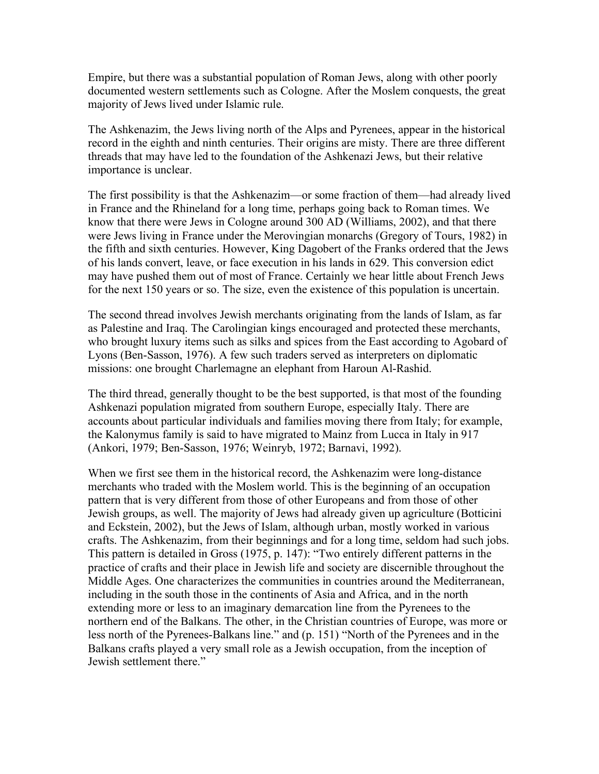Empire, but there was a substantial population of Roman Jews, along with other poorly documented western settlements such as Cologne. After the Moslem conquests, the great majority of Jews lived under Islamic rule.

The Ashkenazim, the Jews living north of the Alps and Pyrenees, appear in the historical record in the eighth and ninth centuries. Their origins are misty. There are three different threads that may have led to the foundation of the Ashkenazi Jews, but their relative importance is unclear.

The first possibility is that the Ashkenazim—or some fraction of them—had already lived in France and the Rhineland for a long time, perhaps going back to Roman times. We know that there were Jews in Cologne around 300 AD (Williams, 2002), and that there were Jews living in France under the Merovingian monarchs (Gregory of Tours, 1982) in the fifth and sixth centuries. However, King Dagobert of the Franks ordered that the Jews of his lands convert, leave, or face execution in his lands in 629. This conversion edict may have pushed them out of most of France. Certainly we hear little about French Jews for the next 150 years or so. The size, even the existence of this population is uncertain.

The second thread involves Jewish merchants originating from the lands of Islam, as far as Palestine and Iraq. The Carolingian kings encouraged and protected these merchants, who brought luxury items such as silks and spices from the East according to Agobard of Lyons (Ben-Sasson, 1976). A few such traders served as interpreters on diplomatic missions: one brought Charlemagne an elephant from Haroun Al-Rashid.

The third thread, generally thought to be the best supported, is that most of the founding Ashkenazi population migrated from southern Europe, especially Italy. There are accounts about particular individuals and families moving there from Italy; for example, the Kalonymus family is said to have migrated to Mainz from Lucca in Italy in 917 (Ankori, 1979; Ben-Sasson, 1976; Weinryb, 1972; Barnavi, 1992).

When we first see them in the historical record, the Ashkenazim were long-distance merchants who traded with the Moslem world. This is the beginning of an occupation pattern that is very different from those of other Europeans and from those of other Jewish groups, as well. The majority of Jews had already given up agriculture (Botticini and Eckstein, 2002), but the Jews of Islam, although urban, mostly worked in various crafts. The Ashkenazim, from their beginnings and for a long time, seldom had such jobs. This pattern is detailed in Gross (1975, p. 147): "Two entirely different patterns in the practice of crafts and their place in Jewish life and society are discernible throughout the Middle Ages. One characterizes the communities in countries around the Mediterranean, including in the south those in the continents of Asia and Africa, and in the north extending more or less to an imaginary demarcation line from the Pyrenees to the northern end of the Balkans. The other, in the Christian countries of Europe, was more or less north of the Pyrenees-Balkans line." and (p. 151) "North of the Pyrenees and in the Balkans crafts played a very small role as a Jewish occupation, from the inception of Jewish settlement there."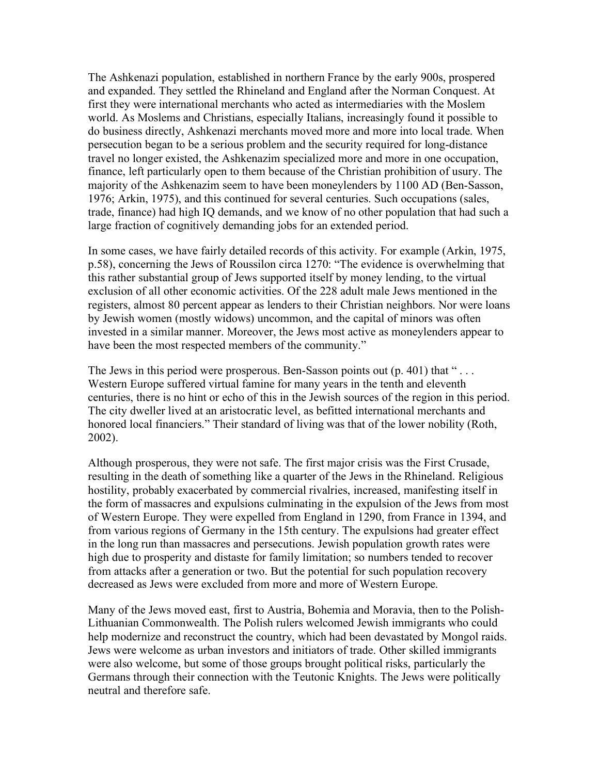The Ashkenazi population, established in northern France by the early 900s, prospered and expanded. They settled the Rhineland and England after the Norman Conquest. At first they were international merchants who acted as intermediaries with the Moslem world. As Moslems and Christians, especially Italians, increasingly found it possible to do business directly, Ashkenazi merchants moved more and more into local trade. When persecution began to be a serious problem and the security required for long-distance travel no longer existed, the Ashkenazim specialized more and more in one occupation, finance, left particularly open to them because of the Christian prohibition of usury. The majority of the Ashkenazim seem to have been moneylenders by 1100 AD (Ben-Sasson, 1976; Arkin, 1975), and this continued for several centuries. Such occupations (sales, trade, finance) had high IQ demands, and we know of no other population that had such a large fraction of cognitively demanding jobs for an extended period.

In some cases, we have fairly detailed records of this activity. For example (Arkin, 1975, p.58), concerning the Jews of Roussilon circa 1270: "The evidence is overwhelming that this rather substantial group of Jews supported itself by money lending, to the virtual exclusion of all other economic activities. Of the 228 adult male Jews mentioned in the registers, almost 80 percent appear as lenders to their Christian neighbors. Nor were loans by Jewish women (mostly widows) uncommon, and the capital of minors was often invested in a similar manner. Moreover, the Jews most active as moneylenders appear to have been the most respected members of the community."

The Jews in this period were prosperous. Ben-Sasson points out (p. 401) that "... Western Europe suffered virtual famine for many years in the tenth and eleventh centuries, there is no hint or echo of this in the Jewish sources of the region in this period. The city dweller lived at an aristocratic level, as befitted international merchants and honored local financiers." Their standard of living was that of the lower nobility (Roth, 2002).

Although prosperous, they were not safe. The first major crisis was the First Crusade, resulting in the death of something like a quarter of the Jews in the Rhineland. Religious hostility, probably exacerbated by commercial rivalries, increased, manifesting itself in the form of massacres and expulsions culminating in the expulsion of the Jews from most of Western Europe. They were expelled from England in 1290, from France in 1394, and from various regions of Germany in the 15th century. The expulsions had greater effect in the long run than massacres and persecutions. Jewish population growth rates were high due to prosperity and distaste for family limitation; so numbers tended to recover from attacks after a generation or two. But the potential for such population recovery decreased as Jews were excluded from more and more of Western Europe.

Many of the Jews moved east, first to Austria, Bohemia and Moravia, then to the Polish-Lithuanian Commonwealth. The Polish rulers welcomed Jewish immigrants who could help modernize and reconstruct the country, which had been devastated by Mongol raids. Jews were welcome as urban investors and initiators of trade. Other skilled immigrants were also welcome, but some of those groups brought political risks, particularly the Germans through their connection with the Teutonic Knights. The Jews were politically neutral and therefore safe.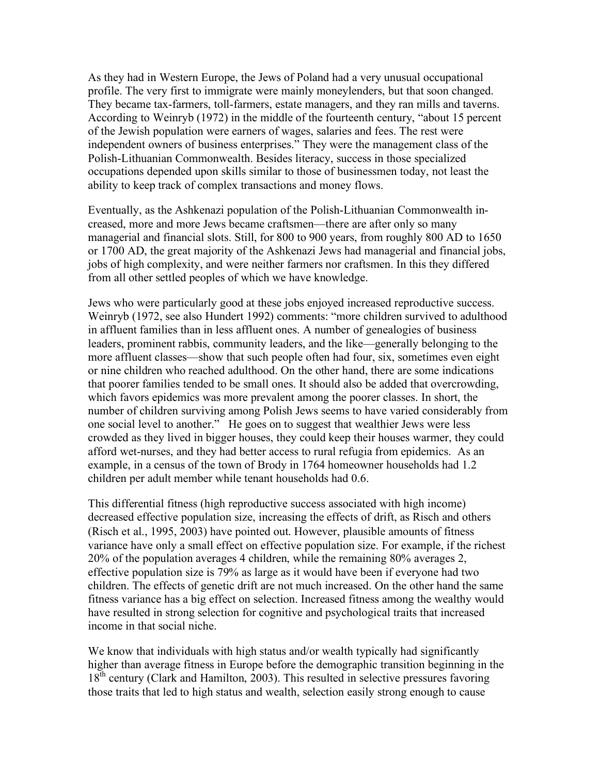As they had in Western Europe, the Jews of Poland had a very unusual occupational profile. The very first to immigrate were mainly moneylenders, but that soon changed. They became tax-farmers, toll-farmers, estate managers, and they ran mills and taverns. According to Weinryb (1972) in the middle of the fourteenth century, "about 15 percent of the Jewish population were earners of wages, salaries and fees. The rest were independent owners of business enterprises." They were the management class of the Polish-Lithuanian Commonwealth. Besides literacy, success in those specialized occupations depended upon skills similar to those of businessmen today, not least the ability to keep track of complex transactions and money flows.

Eventually, as the Ashkenazi population of the Polish-Lithuanian Commonwealth increased, more and more Jews became craftsmen—there are after only so many managerial and financial slots. Still, for 800 to 900 years, from roughly 800 AD to 1650 or 1700 AD, the great majority of the Ashkenazi Jews had managerial and financial jobs, jobs of high complexity, and were neither farmers nor craftsmen. In this they differed from all other settled peoples of which we have knowledge.

Jews who were particularly good at these jobs enjoyed increased reproductive success. Weinryb (1972, see also Hundert 1992) comments: "more children survived to adulthood in affluent families than in less affluent ones. A number of genealogies of business leaders, prominent rabbis, community leaders, and the like—generally belonging to the more affluent classes—show that such people often had four, six, sometimes even eight or nine children who reached adulthood. On the other hand, there are some indications that poorer families tended to be small ones. It should also be added that overcrowding, which favors epidemics was more prevalent among the poorer classes. In short, the number of children surviving among Polish Jews seems to have varied considerably from one social level to another." He goes on to suggest that wealthier Jews were less crowded as they lived in bigger houses, they could keep their houses warmer, they could afford wet-nurses, and they had better access to rural refugia from epidemics. As an example, in a census of the town of Brody in 1764 homeowner households had 1.2 children per adult member while tenant households had 0.6.

This differential fitness (high reproductive success associated with high income) decreased effective population size, increasing the effects of drift, as Risch and others (Risch et al., 1995, 2003) have pointed out. However, plausible amounts of fitness variance have only a small effect on effective population size. For example, if the richest 20% of the population averages 4 children, while the remaining 80% averages 2, effective population size is 79% as large as it would have been if everyone had two children. The effects of genetic drift are not much increased. On the other hand the same fitness variance has a big effect on selection. Increased fitness among the wealthy would have resulted in strong selection for cognitive and psychological traits that increased income in that social niche.

We know that individuals with high status and/or wealth typically had significantly higher than average fitness in Europe before the demographic transition beginning in the 18<sup>th</sup> century (Clark and Hamilton, 2003). This resulted in selective pressures favoring those traits that led to high status and wealth, selection easily strong enough to cause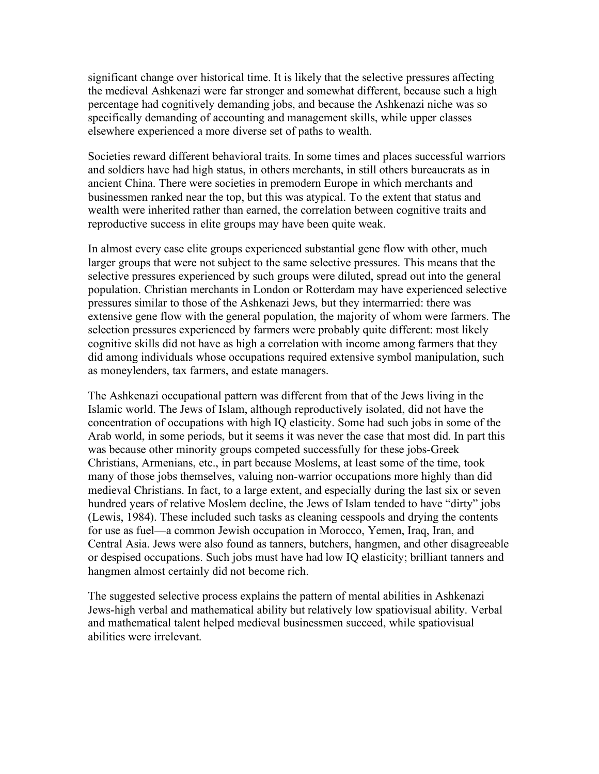significant change over historical time. It is likely that the selective pressures affecting the medieval Ashkenazi were far stronger and somewhat different, because such a high percentage had cognitively demanding jobs, and because the Ashkenazi niche was so specifically demanding of accounting and management skills, while upper classes elsewhere experienced a more diverse set of paths to wealth.

Societies reward different behavioral traits. In some times and places successful warriors and soldiers have had high status, in others merchants, in still others bureaucrats as in ancient China. There were societies in premodern Europe in which merchants and businessmen ranked near the top, but this was atypical. To the extent that status and wealth were inherited rather than earned, the correlation between cognitive traits and reproductive success in elite groups may have been quite weak.

In almost every case elite groups experienced substantial gene flow with other, much larger groups that were not subject to the same selective pressures. This means that the selective pressures experienced by such groups were diluted, spread out into the general population. Christian merchants in London or Rotterdam may have experienced selective pressures similar to those of the Ashkenazi Jews, but they intermarried: there was extensive gene flow with the general population, the majority of whom were farmers. The selection pressures experienced by farmers were probably quite different: most likely cognitive skills did not have as high a correlation with income among farmers that they did among individuals whose occupations required extensive symbol manipulation, such as moneylenders, tax farmers, and estate managers.

The Ashkenazi occupational pattern was different from that of the Jews living in the Islamic world. The Jews of Islam, although reproductively isolated, did not have the concentration of occupations with high IQ elasticity. Some had such jobs in some of the Arab world, in some periods, but it seems it was never the case that most did. In part this was because other minority groups competed successfully for these jobs-Greek Christians, Armenians, etc., in part because Moslems, at least some of the time, took many of those jobs themselves, valuing non-warrior occupations more highly than did medieval Christians. In fact, to a large extent, and especially during the last six or seven hundred years of relative Moslem decline, the Jews of Islam tended to have "dirty" jobs (Lewis, 1984). These included such tasks as cleaning cesspools and drying the contents for use as fuel—a common Jewish occupation in Morocco, Yemen, Iraq, Iran, and Central Asia. Jews were also found as tanners, butchers, hangmen, and other disagreeable or despised occupations. Such jobs must have had low IQ elasticity; brilliant tanners and hangmen almost certainly did not become rich.

The suggested selective process explains the pattern of mental abilities in Ashkenazi Jews-high verbal and mathematical ability but relatively low spatiovisual ability. Verbal and mathematical talent helped medieval businessmen succeed, while spatiovisual abilities were irrelevant.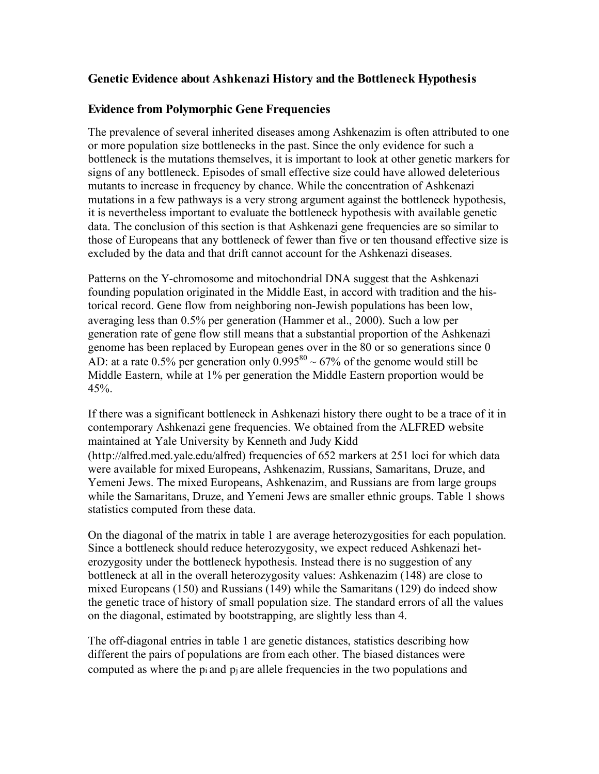## **Genetic Evidence about Ashkenazi History and the Bottleneck Hypothesis**

## **Evidence from Polymorphic Gene Frequencies**

The prevalence of several inherited diseases among Ashkenazim is often attributed to one or more population size bottlenecks in the past. Since the only evidence for such a bottleneck is the mutations themselves, it is important to look at other genetic markers for signs of any bottleneck. Episodes of small effective size could have allowed deleterious mutants to increase in frequency by chance. While the concentration of Ashkenazi mutations in a few pathways is a very strong argument against the bottleneck hypothesis, it is nevertheless important to evaluate the bottleneck hypothesis with available genetic data. The conclusion of this section is that Ashkenazi gene frequencies are so similar to those of Europeans that any bottleneck of fewer than five or ten thousand effective size is excluded by the data and that drift cannot account for the Ashkenazi diseases.

Patterns on the Y-chromosome and mitochondrial DNA suggest that the Ashkenazi founding population originated in the Middle East, in accord with tradition and the historical record. Gene flow from neighboring non-Jewish populations has been low, averaging less than 0.5% per generation (Hammer et al., 2000). Such a low per generation rate of gene flow still means that a substantial proportion of the Ashkenazi genome has been replaced by European genes over in the 80 or so generations since 0 AD: at a rate 0.5% per generation only  $0.995^{80} \sim 67\%$  of the genome would still be Middle Eastern, while at 1% per generation the Middle Eastern proportion would be 45%.

If there was a significant bottleneck in Ashkenazi history there ought to be a trace of it in contemporary Ashkenazi gene frequencies. We obtained from the ALFRED website maintained at Yale University by Kenneth and Judy Kidd (http://alfred.med.yale.edu/alfred) frequencies of 652 markers at 251 loci for which data were available for mixed Europeans, Ashkenazim, Russians, Samaritans, Druze, and Yemeni Jews. The mixed Europeans, Ashkenazim, and Russians are from large groups while the Samaritans, Druze, and Yemeni Jews are smaller ethnic groups. Table 1 shows statistics computed from these data.

On the diagonal of the matrix in table 1 are average heterozygosities for each population. Since a bottleneck should reduce heterozygosity, we expect reduced Ashkenazi heterozygosity under the bottleneck hypothesis. Instead there is no suggestion of any bottleneck at all in the overall heterozygosity values: Ashkenazim (148) are close to mixed Europeans (150) and Russians (149) while the Samaritans (129) do indeed show the genetic trace of history of small population size. The standard errors of all the values on the diagonal, estimated by bootstrapping, are slightly less than 4.

The off-diagonal entries in table 1 are genetic distances, statistics describing how different the pairs of populations are from each other. The biased distances were computed as where the  $p_i$  and  $p_j$  are allele frequencies in the two populations and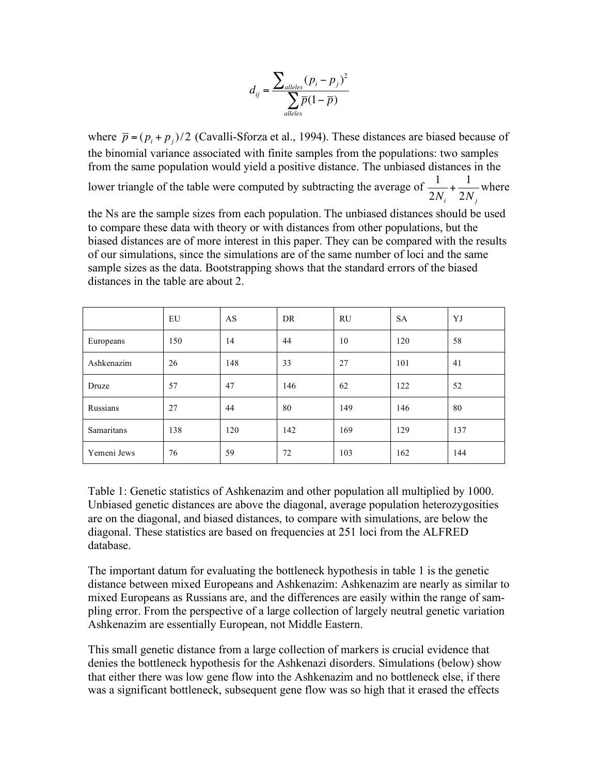$$
d_{ij} = \frac{\sum_{\text{alleles}} (p_i - p_j)^2}{\sum_{\text{alleles}} \overline{p}(1 - \overline{p})}
$$

from the same population would yield a positive distance. The unbiased distances in the where  $\bar{p} = (p_i + p_j)/2$  (Cavalli-Sforza et al., 1994). These distances are biased because of the binomial variance associated with finite samples from the populations: two samples lower triangle of the table were computed by subtracting the average of  $\frac{1}{2}$ + 1 where

2*Ni*

2*Nj*

of our simulations, since the simulations are of the same number of loci and the same the Ns are the sample sizes from each population. The unbiased distances should be used to compare these data with theory or with distances from other populations, but the biased distances are of more interest in this paper. They can be compared with the results sample sizes as the data. Bootstrapping shows that the standard errors of the biased distances in the table are about 2.

|             | EU  | AS  | DR  | <b>RU</b> | <b>SA</b> | YJ  |
|-------------|-----|-----|-----|-----------|-----------|-----|
| Europeans   | 150 | 14  | 44  | 10        | 120       | 58  |
| Ashkenazim  | 26  | 148 | 33  | 27        | 101       | 41  |
| Druze       | 57  | 47  | 146 | 62        | 122       | 52  |
| Russians    | 27  | 44  | 80  | 149       | 146       | 80  |
| Samaritans  | 138 | 120 | 142 | 169       | 129       | 137 |
| Yemeni Jews | 76  | 59  | 72  | 103       | 162       | 144 |

Table 1: Genetic statistics of Ashkenazim and other population all multiplied by 1000. Unbiased genetic distances are above the diagonal, average population heterozygosities are on the diagonal, and biased distances, to compare with simulations, are below the diagonal. These statistics are based on frequencies at 251 loci from the ALFRED database.

The important datum for evaluating the bottleneck hypothesis in table 1 is the genetic distance between mixed Europeans and Ashkenazim: Ashkenazim are nearly as similar to mixed Europeans as Russians are, and the differences are easily within the range of sampling error. From the perspective of a large collection of largely neutral genetic variation Ashkenazim are essentially European, not Middle Eastern.

This small genetic distance from a large collection of markers is crucial evidence that denies the bottleneck hypothesis for the Ashkenazi disorders. Simulations (below) show that either there was low gene flow into the Ashkenazim and no bottleneck else, if there was a significant bottleneck, subsequent gene flow was so high that it erased the effects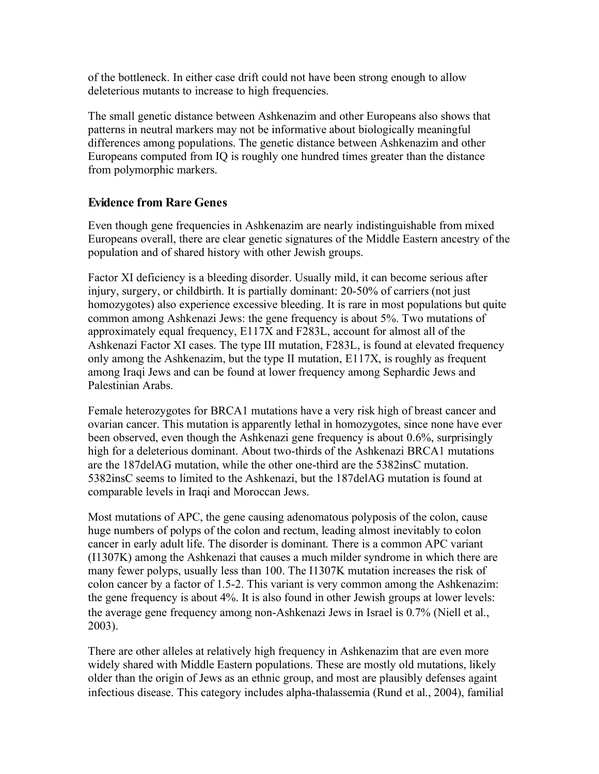of the bottleneck. In either case drift could not have been strong enough to allow deleterious mutants to increase to high frequencies.

The small genetic distance between Ashkenazim and other Europeans also shows that patterns in neutral markers may not be informative about biologically meaningful differences among populations. The genetic distance between Ashkenazim and other Europeans computed from IQ is roughly one hundred times greater than the distance from polymorphic markers.

### **Evidence from Rare Genes**

Even though gene frequencies in Ashkenazim are nearly indistinguishable from mixed Europeans overall, there are clear genetic signatures of the Middle Eastern ancestry of the population and of shared history with other Jewish groups.

Factor XI deficiency is a bleeding disorder. Usually mild, it can become serious after injury, surgery, or childbirth. It is partially dominant: 20-50% of carriers (not just homozygotes) also experience excessive bleeding. It is rare in most populations but quite common among Ashkenazi Jews: the gene frequency is about 5%. Two mutations of approximately equal frequency, E117X and F283L, account for almost all of the Ashkenazi Factor XI cases. The type III mutation, F283L, is found at elevated frequency only among the Ashkenazim, but the type II mutation, E117X, is roughly as frequent among Iraqi Jews and can be found at lower frequency among Sephardic Jews and Palestinian Arabs.

Female heterozygotes for BRCA1 mutations have a very risk high of breast cancer and ovarian cancer. This mutation is apparently lethal in homozygotes, since none have ever been observed, even though the Ashkenazi gene frequency is about 0.6%, surprisingly high for a deleterious dominant. About two-thirds of the Ashkenazi BRCA1 mutations are the 187delAG mutation, while the other one-third are the 5382insC mutation. 5382insC seems to limited to the Ashkenazi, but the 187delAG mutation is found at comparable levels in Iraqi and Moroccan Jews.

Most mutations of APC, the gene causing adenomatous polyposis of the colon, cause huge numbers of polyps of the colon and rectum, leading almost inevitably to colon cancer in early adult life. The disorder is dominant. There is a common APC variant (I1307K) among the Ashkenazi that causes a much milder syndrome in which there are many fewer polyps, usually less than 100. The I1307K mutation increases the risk of colon cancer by a factor of 1.5-2. This variant is very common among the Ashkenazim: the gene frequency is about 4%. It is also found in other Jewish groups at lower levels: the average gene frequency among non-Ashkenazi Jews in Israel is 0.7% (Niell et al., 2003).

There are other alleles at relatively high frequency in Ashkenazim that are even more widely shared with Middle Eastern populations. These are mostly old mutations, likely older than the origin of Jews as an ethnic group, and most are plausibly defenses againt infectious disease. This category includes alpha-thalassemia (Rund et al., 2004), familial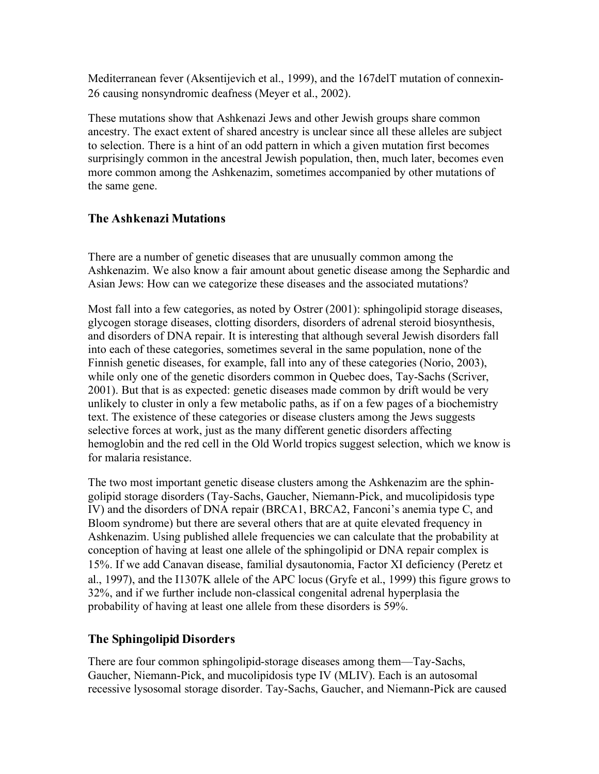Mediterranean fever (Aksentijevich et al., 1999), and the 167delT mutation of connexin-26 causing nonsyndromic deafness (Meyer et al., 2002).

These mutations show that Ashkenazi Jews and other Jewish groups share common ancestry. The exact extent of shared ancestry is unclear since all these alleles are subject to selection. There is a hint of an odd pattern in which a given mutation first becomes surprisingly common in the ancestral Jewish population, then, much later, becomes even more common among the Ashkenazim, sometimes accompanied by other mutations of the same gene.

## **The Ashkenazi Mutations**

There are a number of genetic diseases that are unusually common among the Ashkenazim. We also know a fair amount about genetic disease among the Sephardic and Asian Jews: How can we categorize these diseases and the associated mutations?

Most fall into a few categories, as noted by Ostrer (2001): sphingolipid storage diseases, glycogen storage diseases, clotting disorders, disorders of adrenal steroid biosynthesis, and disorders of DNA repair. It is interesting that although several Jewish disorders fall into each of these categories, sometimes several in the same population, none of the Finnish genetic diseases, for example, fall into any of these categories (Norio, 2003), while only one of the genetic disorders common in Quebec does, Tay-Sachs (Scriver, 2001). But that is as expected: genetic diseases made common by drift would be very unlikely to cluster in only a few metabolic paths, as if on a few pages of a biochemistry text. The existence of these categories or disease clusters among the Jews suggests selective forces at work, just as the many different genetic disorders affecting hemoglobin and the red cell in the Old World tropics suggest selection, which we know is for malaria resistance.

The two most important genetic disease clusters among the Ashkenazim are the sphingolipid storage disorders (Tay-Sachs, Gaucher, Niemann-Pick, and mucolipidosis type IV) and the disorders of DNA repair (BRCA1, BRCA2, Fanconi's anemia type C, and Bloom syndrome) but there are several others that are at quite elevated frequency in Ashkenazim. Using published allele frequencies we can calculate that the probability at conception of having at least one allele of the sphingolipid or DNA repair complex is 15%. If we add Canavan disease, familial dysautonomia, Factor XI deficiency (Peretz et al., 1997), and the I1307K allele of the APC locus (Gryfe et al., 1999) this figure grows to 32%, and if we further include non-classical congenital adrenal hyperplasia the probability of having at least one allele from these disorders is 59%.

## **The Sphingolipid Disorders**

There are four common sphingolipid-storage diseases among them—Tay-Sachs, Gaucher, Niemann-Pick, and mucolipidosis type IV (MLIV). Each is an autosomal recessive lysosomal storage disorder. Tay-Sachs, Gaucher, and Niemann-Pick are caused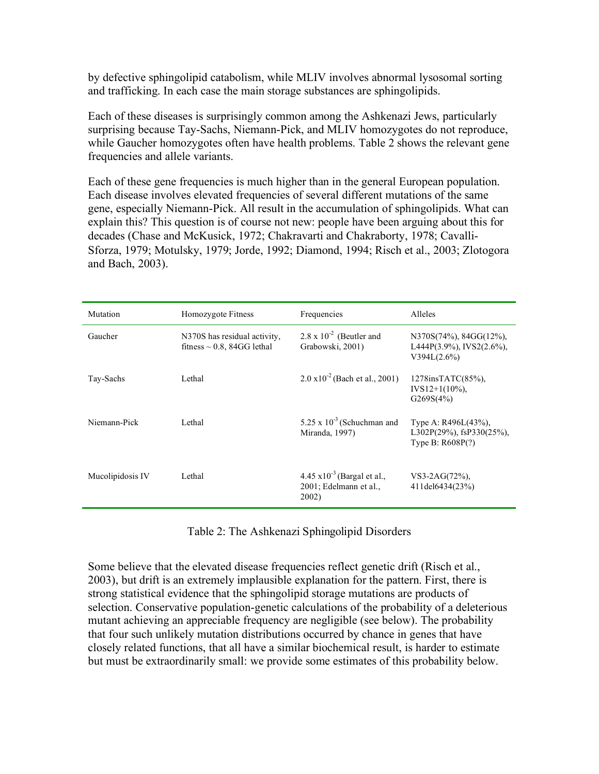by defective sphingolipid catabolism, while MLIV involves abnormal lysosomal sorting and trafficking. In each case the main storage substances are sphingolipids.

Each of these diseases is surprisingly common among the Ashkenazi Jews, particularly surprising because Tay-Sachs, Niemann-Pick, and MLIV homozygotes do not reproduce, while Gaucher homozygotes often have health problems. Table 2 shows the relevant gene frequencies and allele variants.

Each of these gene frequencies is much higher than in the general European population. Each disease involves elevated frequencies of several different mutations of the same gene, especially Niemann-Pick. All result in the accumulation of sphingolipids. What can explain this? This question is of course not new: people have been arguing about this for decades (Chase and McKusick, 1972; Chakravarti and Chakraborty, 1978; Cavalli-Sforza, 1979; Motulsky, 1979; Jorde, 1992; Diamond, 1994; Risch et al., 2003; Zlotogora and Bach, 2003).

| Mutation         | Homozygote Fitness                                              | Frequencies                                                        | Alleles                                                                |
|------------------|-----------------------------------------------------------------|--------------------------------------------------------------------|------------------------------------------------------------------------|
| Gaucher          | N370S has residual activity.<br>fitness $\sim$ 0.8, 84GG lethal | $2.8 \times 10^{-2}$ (Beutler and<br>Grabowski, 2001)              | $N370S(74\%)$ , 84GG(12\%),<br>L444P(3.9%), IVS2(2.6%),<br>V394L(2.6%) |
| Tay-Sachs        | Lethal                                                          | $2.0 \times 10^{-2}$ (Bach et al., 2001)                           | $1278$ insTATC $(85%)$<br>$IVS12+1(10\%)$ .<br>G269S(4%)               |
| Niemann-Pick     | Lethal                                                          | $5.25 \times 10^{-3}$ (Schuchman and<br>Miranda, 1997)             | Type A: R496L(43%),<br>L302P(29%), fsP330(25%),<br>Type B: R608P(?)    |
| Mucolipidosis IV | Lethal                                                          | 4.45 $x10^{-3}$ (Bargal et al.,<br>2001; Edelmann et al.,<br>2002) | $VS3-2AG(72%)$<br>411del6434(23%)                                      |

Table 2: The Ashkenazi Sphingolipid Disorders

Some believe that the elevated disease frequencies reflect genetic drift (Risch et al., 2003), but drift is an extremely implausible explanation for the pattern. First, there is strong statistical evidence that the sphingolipid storage mutations are products of selection. Conservative population-genetic calculations of the probability of a deleterious mutant achieving an appreciable frequency are negligible (see below). The probability that four such unlikely mutation distributions occurred by chance in genes that have closely related functions, that all have a similar biochemical result, is harder to estimate but must be extraordinarily small: we provide some estimates of this probability below.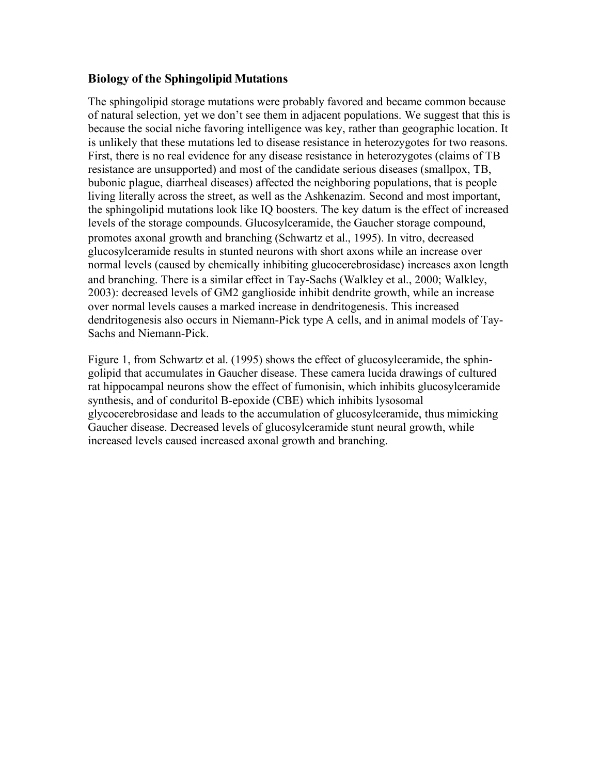#### **Biology of the Sphingolipid Mutations**

The sphingolipid storage mutations were probably favored and became common because of natural selection, yet we don't see them in adjacent populations. We suggest that this is because the social niche favoring intelligence was key, rather than geographic location. It is unlikely that these mutations led to disease resistance in heterozygotes for two reasons. First, there is no real evidence for any disease resistance in heterozygotes (claims of TB resistance are unsupported) and most of the candidate serious diseases (smallpox, TB, bubonic plague, diarrheal diseases) affected the neighboring populations, that is people living literally across the street, as well as the Ashkenazim. Second and most important, the sphingolipid mutations look like IQ boosters. The key datum is the effect of increased levels of the storage compounds. Glucosylceramide, the Gaucher storage compound, promotes axonal growth and branching (Schwartz et al., 1995). In vitro, decreased glucosylceramide results in stunted neurons with short axons while an increase over normal levels (caused by chemically inhibiting glucocerebrosidase) increases axon length and branching. There is a similar effect in Tay-Sachs (Walkley et al., 2000; Walkley, 2003): decreased levels of GM2 ganglioside inhibit dendrite growth, while an increase over normal levels causes a marked increase in dendritogenesis. This increased dendritogenesis also occurs in Niemann-Pick type A cells, and in animal models of Tay-Sachs and Niemann-Pick.

Figure 1, from Schwartz et al. (1995) shows the effect of glucosylceramide, the sphingolipid that accumulates in Gaucher disease. These camera lucida drawings of cultured rat hippocampal neurons show the effect of fumonisin, which inhibits glucosylceramide synthesis, and of conduritol B-epoxide (CBE) which inhibits lysosomal glycocerebrosidase and leads to the accumulation of glucosylceramide, thus mimicking Gaucher disease. Decreased levels of glucosylceramide stunt neural growth, while increased levels caused increased axonal growth and branching.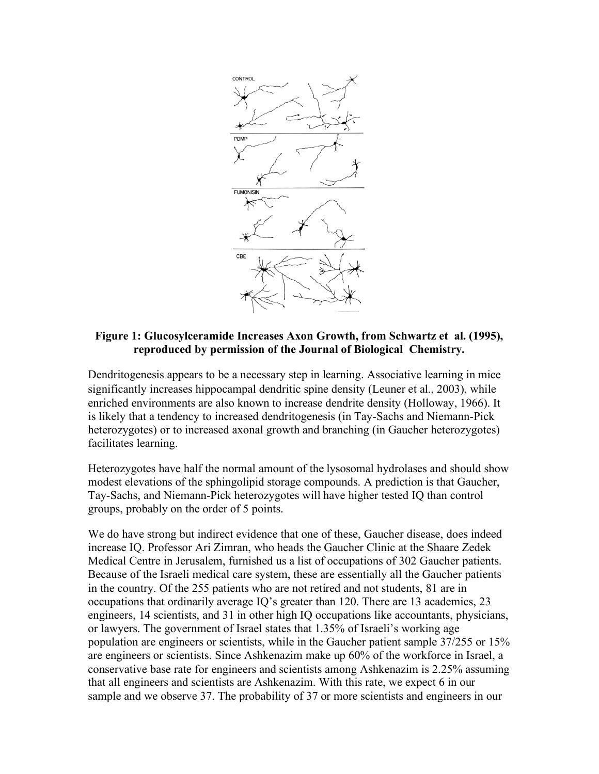

#### **Figure 1: Glucosylceramide Increases Axon Growth, from Schwartz et al. (1995), reproduced by permission of the Journal of Biological Chemistry.**

Dendritogenesis appears to be a necessary step in learning. Associative learning in mice significantly increases hippocampal dendritic spine density (Leuner et al., 2003), while enriched environments are also known to increase dendrite density (Holloway, 1966). It is likely that a tendency to increased dendritogenesis (in Tay-Sachs and Niemann-Pick heterozygotes) or to increased axonal growth and branching (in Gaucher heterozygotes) facilitates learning.

Heterozygotes have half the normal amount of the lysosomal hydrolases and should show modest elevations of the sphingolipid storage compounds. A prediction is that Gaucher, Tay-Sachs, and Niemann-Pick heterozygotes will have higher tested IQ than control groups, probably on the order of 5 points.

We do have strong but indirect evidence that one of these, Gaucher disease, does indeed increase IQ. Professor Ari Zimran, who heads the Gaucher Clinic at the Shaare Zedek Medical Centre in Jerusalem, furnished us a list of occupations of 302 Gaucher patients. Because of the Israeli medical care system, these are essentially all the Gaucher patients in the country. Of the 255 patients who are not retired and not students, 81 are in occupations that ordinarily average IQ's greater than 120. There are 13 academics, 23 engineers, 14 scientists, and 31 in other high IQ occupations like accountants, physicians, or lawyers. The government of Israel states that 1.35% of Israeli's working age population are engineers or scientists, while in the Gaucher patient sample 37/255 or 15% are engineers or scientists. Since Ashkenazim make up 60% of the workforce in Israel, a conservative base rate for engineers and scientists among Ashkenazim is 2.25% assuming that all engineers and scientists are Ashkenazim. With this rate, we expect 6 in our sample and we observe 37. The probability of 37 or more scientists and engineers in our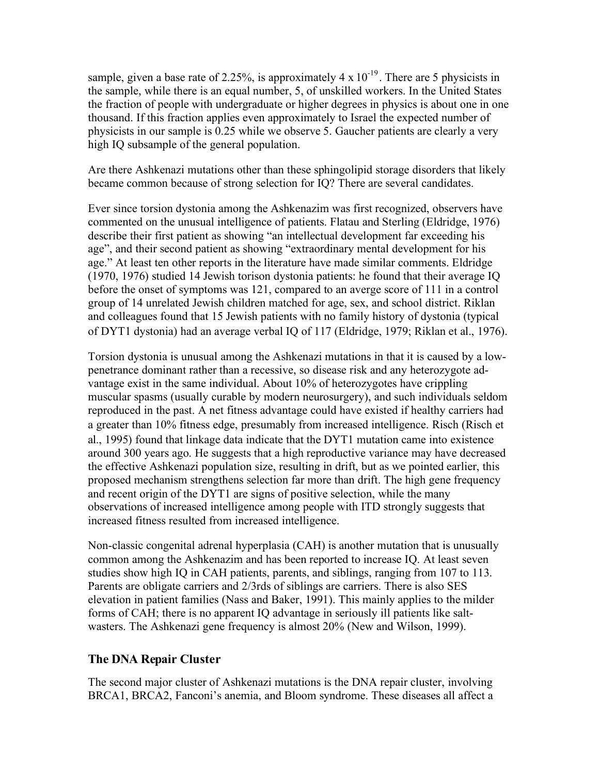sample, given a base rate of 2.25%, is approximately  $4 \times 10^{-19}$ . There are 5 physicists in the sample, while there is an equal number, 5, of unskilled workers. In the United States the fraction of people with undergraduate or higher degrees in physics is about one in one thousand. If this fraction applies even approximately to Israel the expected number of physicists in our sample is 0.25 while we observe 5. Gaucher patients are clearly a very high IQ subsample of the general population.

Are there Ashkenazi mutations other than these sphingolipid storage disorders that likely became common because of strong selection for IQ? There are several candidates.

Ever since torsion dystonia among the Ashkenazim was first recognized, observers have commented on the unusual intelligence of patients. Flatau and Sterling (Eldridge, 1976) describe their first patient as showing "an intellectual development far exceeding his age", and their second patient as showing "extraordinary mental development for his age." At least ten other reports in the literature have made similar comments. Eldridge (1970, 1976) studied 14 Jewish torison dystonia patients: he found that their average IQ before the onset of symptoms was 121, compared to an averge score of 111 in a control group of 14 unrelated Jewish children matched for age, sex, and school district. Riklan and colleagues found that 15 Jewish patients with no family history of dystonia (typical of DYT1 dystonia) had an average verbal IQ of 117 (Eldridge, 1979; Riklan et al., 1976).

Torsion dystonia is unusual among the Ashkenazi mutations in that it is caused by a lowpenetrance dominant rather than a recessive, so disease risk and any heterozygote advantage exist in the same individual. About 10% of heterozygotes have crippling muscular spasms (usually curable by modern neurosurgery), and such individuals seldom reproduced in the past. A net fitness advantage could have existed if healthy carriers had a greater than 10% fitness edge, presumably from increased intelligence. Risch (Risch et al., 1995) found that linkage data indicate that the DYT1 mutation came into existence around 300 years ago. He suggests that a high reproductive variance may have decreased the effective Ashkenazi population size, resulting in drift, but as we pointed earlier, this proposed mechanism strengthens selection far more than drift. The high gene frequency and recent origin of the DYT1 are signs of positive selection, while the many observations of increased intelligence among people with ITD strongly suggests that increased fitness resulted from increased intelligence.

Non-classic congenital adrenal hyperplasia (CAH) is another mutation that is unusually common among the Ashkenazim and has been reported to increase IQ. At least seven studies show high IQ in CAH patients, parents, and siblings, ranging from 107 to 113. Parents are obligate carriers and 2/3rds of siblings are carriers. There is also SES elevation in patient families (Nass and Baker, 1991). This mainly applies to the milder forms of CAH; there is no apparent IQ advantage in seriously ill patients like saltwasters. The Ashkenazi gene frequency is almost 20% (New and Wilson, 1999).

#### **The DNA Repair Cluster**

The second major cluster of Ashkenazi mutations is the DNA repair cluster, involving BRCA1, BRCA2, Fanconi's anemia, and Bloom syndrome. These diseases all affect a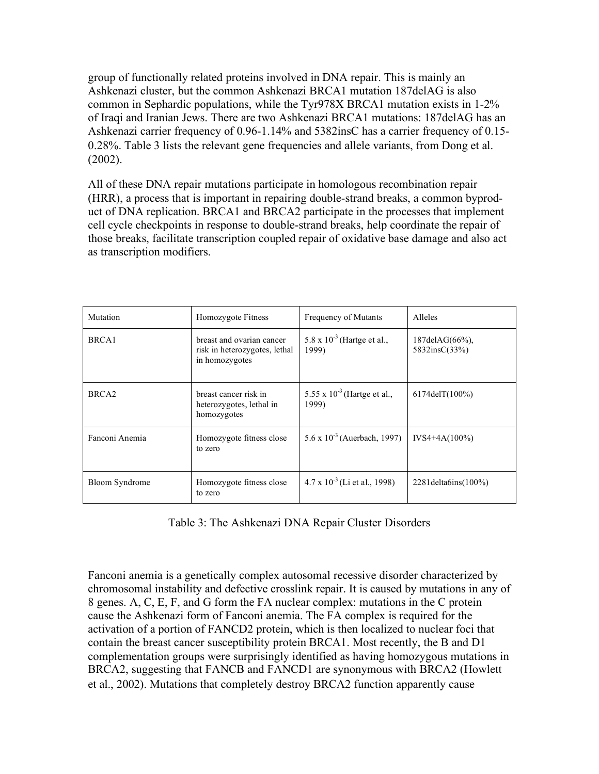group of functionally related proteins involved in DNA repair. This is mainly an Ashkenazi cluster, but the common Ashkenazi BRCA1 mutation 187delAG is also common in Sephardic populations, while the Tyr978X BRCA1 mutation exists in 1-2% of Iraqi and Iranian Jews. There are two Ashkenazi BRCA1 mutations: 187delAG has an Ashkenazi carrier frequency of 0.96-1.14% and 5382insC has a carrier frequency of 0.15- 0.28%. Table 3 lists the relevant gene frequencies and allele variants, from Dong et al. (2002).

All of these DNA repair mutations participate in homologous recombination repair (HRR), a process that is important in repairing double-strand breaks, a common byproduct of DNA replication. BRCA1 and BRCA2 participate in the processes that implement cell cycle checkpoints in response to double-strand breaks, help coordinate the repair of those breaks, facilitate transcription coupled repair of oxidative base damage and also act as transcription modifiers.

| Mutation          | Homozygote Fitness                                                           | Frequency of Mutants                      | Alleles                              |
|-------------------|------------------------------------------------------------------------------|-------------------------------------------|--------------------------------------|
| BRCA1             | breast and ovarian cancer<br>risk in heterozygotes, lethal<br>in homozygotes | 5.8 x $10^{-3}$ (Hartge et al.,<br>1999)  | 187del $AG(66\%)$ ,<br>5832insC(33%) |
| BRCA <sub>2</sub> | breast cancer risk in<br>heterozygotes, lethal in<br>homozygotes             | 5.55 x $10^{-3}$ (Hartge et al.,<br>1999) | $6174$ delT $(100\%)$                |
| Fanconi Anemia    | Homozygote fitness close<br>to zero                                          | $5.6 \times 10^{-3}$ (Auerbach, 1997)     | $IVS4+4A(100\%)$                     |
| Bloom Syndrome    | Homozygote fitness close<br>to zero                                          | $4.7 \times 10^{-3}$ (Li et al., 1998)    | $2281$ delta6ins $(100\%)$           |

Table 3: The Ashkenazi DNA Repair Cluster Disorders

Fanconi anemia is a genetically complex autosomal recessive disorder characterized by chromosomal instability and defective crosslink repair. It is caused by mutations in any of 8 genes. A, C, E, F, and G form the FA nuclear complex: mutations in the C protein cause the Ashkenazi form of Fanconi anemia. The FA complex is required for the activation of a portion of FANCD2 protein, which is then localized to nuclear foci that contain the breast cancer susceptibility protein BRCA1. Most recently, the B and D1 complementation groups were surprisingly identified as having homozygous mutations in BRCA2, suggesting that FANCB and FANCD1 are synonymous with BRCA2 (Howlett et al., 2002). Mutations that completely destroy BRCA2 function apparently cause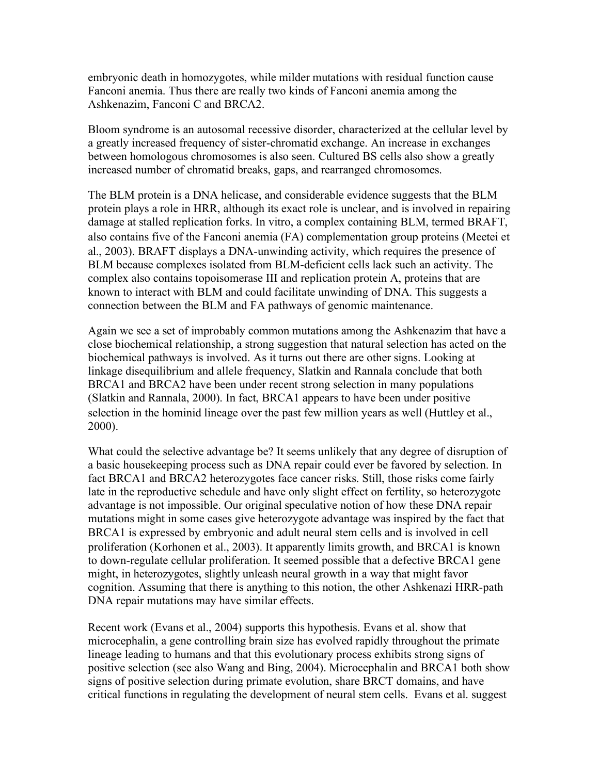embryonic death in homozygotes, while milder mutations with residual function cause Fanconi anemia. Thus there are really two kinds of Fanconi anemia among the Ashkenazim, Fanconi C and BRCA2.

Bloom syndrome is an autosomal recessive disorder, characterized at the cellular level by a greatly increased frequency of sister-chromatid exchange. An increase in exchanges between homologous chromosomes is also seen. Cultured BS cells also show a greatly increased number of chromatid breaks, gaps, and rearranged chromosomes.

The BLM protein is a DNA helicase, and considerable evidence suggests that the BLM protein plays a role in HRR, although its exact role is unclear, and is involved in repairing damage at stalled replication forks. In vitro, a complex containing BLM, termed BRAFT, also contains five of the Fanconi anemia (FA) complementation group proteins (Meetei et al., 2003). BRAFT displays a DNA-unwinding activity, which requires the presence of BLM because complexes isolated from BLM-deficient cells lack such an activity. The complex also contains topoisomerase III and replication protein A, proteins that are known to interact with BLM and could facilitate unwinding of DNA. This suggests a connection between the BLM and FA pathways of genomic maintenance.

Again we see a set of improbably common mutations among the Ashkenazim that have a close biochemical relationship, a strong suggestion that natural selection has acted on the biochemical pathways is involved. As it turns out there are other signs. Looking at linkage disequilibrium and allele frequency, Slatkin and Rannala conclude that both BRCA1 and BRCA2 have been under recent strong selection in many populations (Slatkin and Rannala, 2000). In fact, BRCA1 appears to have been under positive selection in the hominid lineage over the past few million years as well (Huttley et al., 2000).

What could the selective advantage be? It seems unlikely that any degree of disruption of a basic housekeeping process such as DNA repair could ever be favored by selection. In fact BRCA1 and BRCA2 heterozygotes face cancer risks. Still, those risks come fairly late in the reproductive schedule and have only slight effect on fertility, so heterozygote advantage is not impossible. Our original speculative notion of how these DNA repair mutations might in some cases give heterozygote advantage was inspired by the fact that BRCA1 is expressed by embryonic and adult neural stem cells and is involved in cell proliferation (Korhonen et al., 2003). It apparently limits growth, and BRCA1 is known to down-regulate cellular proliferation. It seemed possible that a defective BRCA1 gene might, in heterozygotes, slightly unleash neural growth in a way that might favor cognition. Assuming that there is anything to this notion, the other Ashkenazi HRR-path DNA repair mutations may have similar effects.

Recent work (Evans et al., 2004) supports this hypothesis. Evans et al. show that microcephalin, a gene controlling brain size has evolved rapidly throughout the primate lineage leading to humans and that this evolutionary process exhibits strong signs of positive selection (see also Wang and Bing, 2004). Microcephalin and BRCA1 both show signs of positive selection during primate evolution, share BRCT domains, and have critical functions in regulating the development of neural stem cells. Evans et al. suggest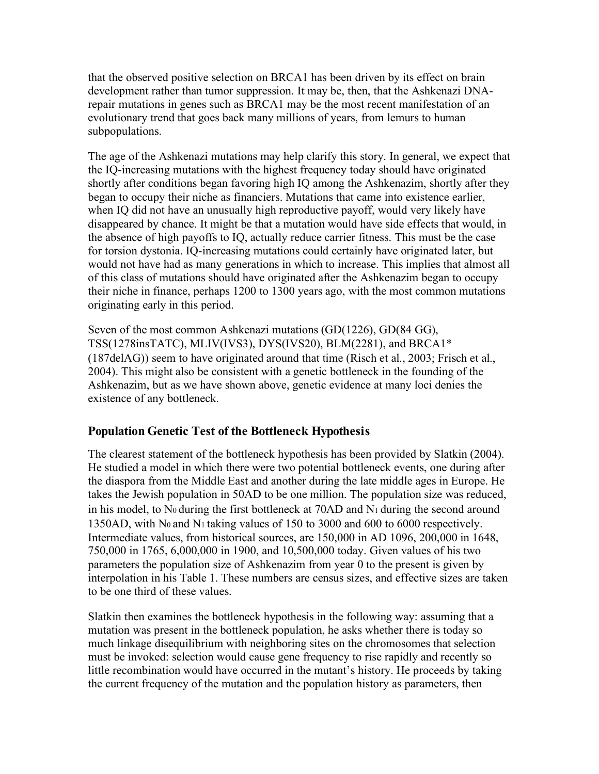that the observed positive selection on BRCA1 has been driven by its effect on brain development rather than tumor suppression. It may be, then, that the Ashkenazi DNArepair mutations in genes such as BRCA1 may be the most recent manifestation of an evolutionary trend that goes back many millions of years, from lemurs to human subpopulations.

The age of the Ashkenazi mutations may help clarify this story. In general, we expect that the IQ-increasing mutations with the highest frequency today should have originated shortly after conditions began favoring high IQ among the Ashkenazim, shortly after they began to occupy their niche as financiers. Mutations that came into existence earlier, when IQ did not have an unusually high reproductive payoff, would very likely have disappeared by chance. It might be that a mutation would have side effects that would, in the absence of high payoffs to IQ, actually reduce carrier fitness. This must be the case for torsion dystonia. IQ-increasing mutations could certainly have originated later, but would not have had as many generations in which to increase. This implies that almost all of this class of mutations should have originated after the Ashkenazim began to occupy their niche in finance, perhaps 1200 to 1300 years ago, with the most common mutations originating early in this period.

Seven of the most common Ashkenazi mutations (GD(1226), GD(84 GG), TSS(1278insTATC), MLIV(IVS3), DYS(IVS20), BLM(2281), and BRCA1\* (187delAG)) seem to have originated around that time (Risch et al., 2003; Frisch et al., 2004). This might also be consistent with a genetic bottleneck in the founding of the Ashkenazim, but as we have shown above, genetic evidence at many loci denies the existence of any bottleneck.

## **Population Genetic Test of the Bottleneck Hypothesis**

The clearest statement of the bottleneck hypothesis has been provided by Slatkin (2004). He studied a model in which there were two potential bottleneck events, one during after the diaspora from the Middle East and another during the late middle ages in Europe. He takes the Jewish population in 50AD to be one million. The population size was reduced, in his model, to N<sub>0</sub> during the first bottleneck at  $70AD$  and N<sub>1</sub> during the second around 1350AD, with N0 and N1 taking values of 150 to 3000 and 600 to 6000 respectively. Intermediate values, from historical sources, are 150,000 in AD 1096, 200,000 in 1648, 750,000 in 1765, 6,000,000 in 1900, and 10,500,000 today. Given values of his two parameters the population size of Ashkenazim from year 0 to the present is given by interpolation in his Table 1. These numbers are census sizes, and effective sizes are taken to be one third of these values.

Slatkin then examines the bottleneck hypothesis in the following way: assuming that a mutation was present in the bottleneck population, he asks whether there is today so much linkage disequilibrium with neighboring sites on the chromosomes that selection must be invoked: selection would cause gene frequency to rise rapidly and recently so little recombination would have occurred in the mutant's history. He proceeds by taking the current frequency of the mutation and the population history as parameters, then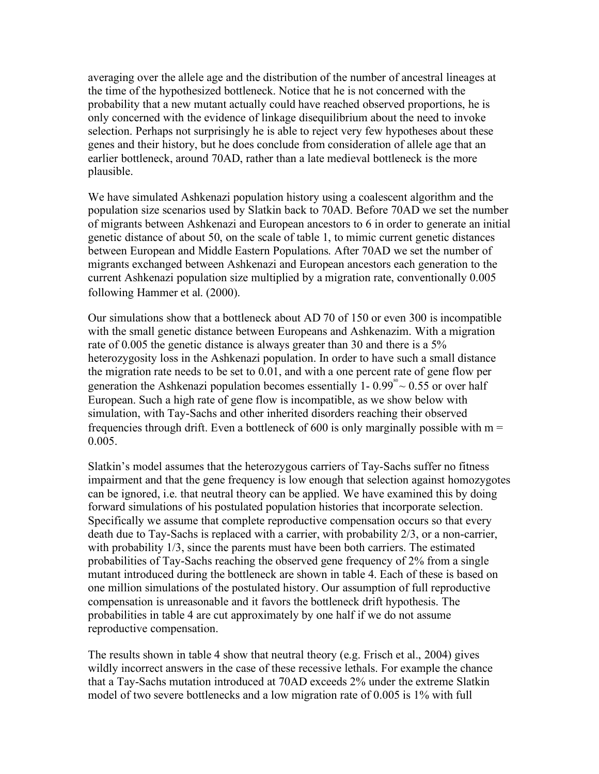averaging over the allele age and the distribution of the number of ancestral lineages at the time of the hypothesized bottleneck. Notice that he is not concerned with the probability that a new mutant actually could have reached observed proportions, he is only concerned with the evidence of linkage disequilibrium about the need to invoke selection. Perhaps not surprisingly he is able to reject very few hypotheses about these genes and their history, but he does conclude from consideration of allele age that an earlier bottleneck, around 70AD, rather than a late medieval bottleneck is the more plausible.

We have simulated Ashkenazi population history using a coalescent algorithm and the population size scenarios used by Slatkin back to 70AD. Before 70AD we set the number of migrants between Ashkenazi and European ancestors to 6 in order to generate an initial genetic distance of about 50, on the scale of table 1, to mimic current genetic distances between European and Middle Eastern Populations. After 70AD we set the number of migrants exchanged between Ashkenazi and European ancestors each generation to the current Ashkenazi population size multiplied by a migration rate, conventionally 0.005 following Hammer et al. (2000).

Our simulations show that a bottleneck about AD 70 of 150 or even 300 is incompatible with the small genetic distance between Europeans and Ashkenazim. With a migration rate of 0.005 the genetic distance is always greater than 30 and there is a 5% heterozygosity loss in the Ashkenazi population. In order to have such a small distance the migration rate needs to be set to 0.01, and with a one percent rate of gene flow per generation the Ashkenazi population becomes essentially 1-  $0.99^{\degree}$   $\sim 0.55$  or over half European. Such a high rate of gene flow is incompatible, as we show below with simulation, with Tay-Sachs and other inherited disorders reaching their observed frequencies through drift. Even a bottleneck of 600 is only marginally possible with  $m =$ 0.005.

Slatkin's model assumes that the heterozygous carriers of Tay-Sachs suffer no fitness impairment and that the gene frequency is low enough that selection against homozygotes can be ignored, i.e. that neutral theory can be applied. We have examined this by doing forward simulations of his postulated population histories that incorporate selection. Specifically we assume that complete reproductive compensation occurs so that every death due to Tay-Sachs is replaced with a carrier, with probability 2/3, or a non-carrier, with probability  $1/3$ , since the parents must have been both carriers. The estimated probabilities of Tay-Sachs reaching the observed gene frequency of 2% from a single mutant introduced during the bottleneck are shown in table 4. Each of these is based on one million simulations of the postulated history. Our assumption of full reproductive compensation is unreasonable and it favors the bottleneck drift hypothesis. The probabilities in table 4 are cut approximately by one half if we do not assume reproductive compensation.

The results shown in table 4 show that neutral theory (e.g. Frisch et al., 2004) gives wildly incorrect answers in the case of these recessive lethals. For example the chance that a Tay-Sachs mutation introduced at 70AD exceeds 2% under the extreme Slatkin model of two severe bottlenecks and a low migration rate of 0.005 is 1% with full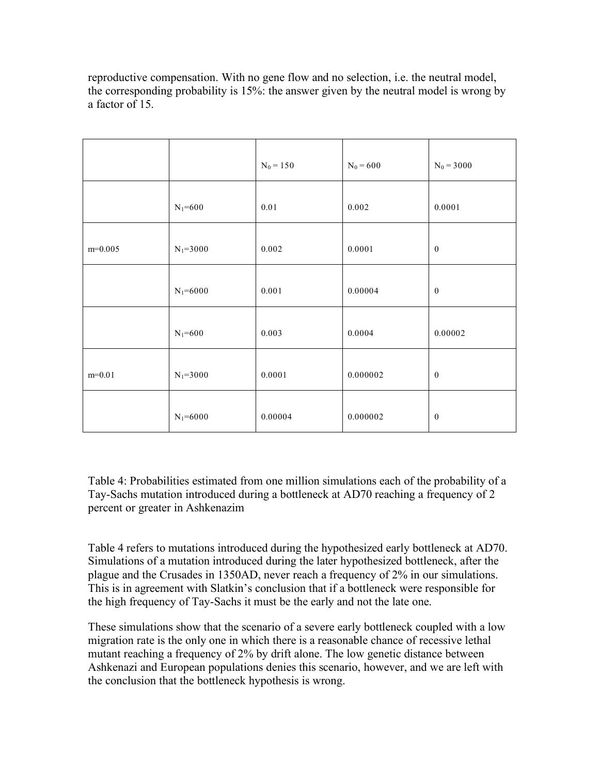reproductive compensation. With no gene flow and no selection, i.e. the neutral model, the corresponding probability is 15%: the answer given by the neutral model is wrong by a factor of 15.

|           |              | $N_0 = 150$ | $N_0 = 600$ | $N_0 = 3000$     |
|-----------|--------------|-------------|-------------|------------------|
|           | $N_1 = 600$  | $0.01\,$    | 0.002       | 0.0001           |
| $m=0.005$ | $N_1 = 3000$ | 0.002       | 0.0001      | $\boldsymbol{0}$ |
|           | $N_1 = 6000$ | 0.001       | 0.00004     | $\mathbf{0}$     |
|           | $N_1 = 600$  | 0.003       | 0.0004      | 0.00002          |
| $m=0.01$  | $N_1 = 3000$ | 0.0001      | 0.000002    | $\mathbf{0}$     |
|           | $N_1 = 6000$ | 0.00004     | 0.000002    | $\boldsymbol{0}$ |

Table 4: Probabilities estimated from one million simulations each of the probability of a Tay-Sachs mutation introduced during a bottleneck at AD70 reaching a frequency of 2 percent or greater in Ashkenazim

Table 4 refers to mutations introduced during the hypothesized early bottleneck at AD70. Simulations of a mutation introduced during the later hypothesized bottleneck, after the plague and the Crusades in 1350AD, never reach a frequency of 2% in our simulations. This is in agreement with Slatkin's conclusion that if a bottleneck were responsible for the high frequency of Tay-Sachs it must be the early and not the late one.

These simulations show that the scenario of a severe early bottleneck coupled with a low migration rate is the only one in which there is a reasonable chance of recessive lethal mutant reaching a frequency of 2% by drift alone. The low genetic distance between Ashkenazi and European populations denies this scenario, however, and we are left with the conclusion that the bottleneck hypothesis is wrong.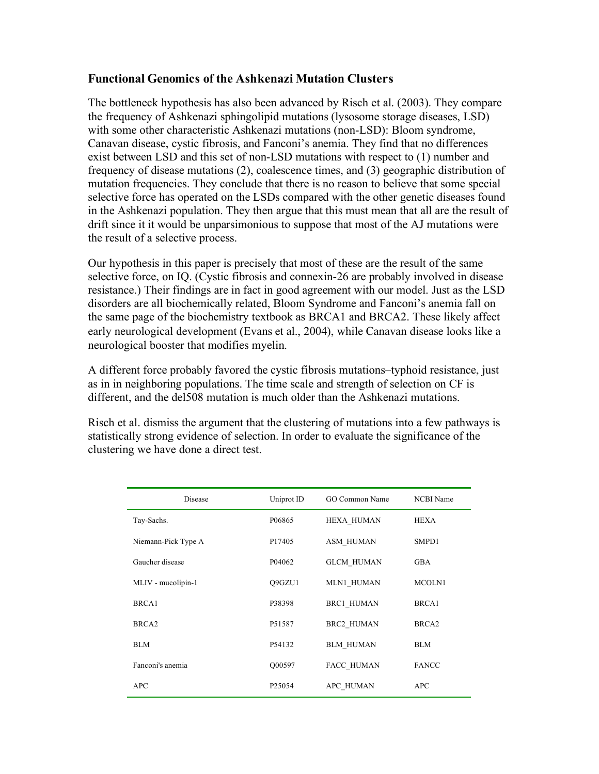## **Functional Genomics of the Ashkenazi Mutation Clusters**

The bottleneck hypothesis has also been advanced by Risch et al. (2003). They compare the frequency of Ashkenazi sphingolipid mutations (lysosome storage diseases, LSD) with some other characteristic Ashkenazi mutations (non-LSD): Bloom syndrome, Canavan disease, cystic fibrosis, and Fanconi's anemia. They find that no differences exist between LSD and this set of non-LSD mutations with respect to (1) number and frequency of disease mutations (2), coalescence times, and (3) geographic distribution of mutation frequencies. They conclude that there is no reason to believe that some special selective force has operated on the LSDs compared with the other genetic diseases found in the Ashkenazi population. They then argue that this must mean that all are the result of drift since it it would be unparsimonious to suppose that most of the AJ mutations were the result of a selective process.

Our hypothesis in this paper is precisely that most of these are the result of the same selective force, on IQ. (Cystic fibrosis and connexin-26 are probably involved in disease resistance.) Their findings are in fact in good agreement with our model. Just as the LSD disorders are all biochemically related, Bloom Syndrome and Fanconi's anemia fall on the same page of the biochemistry textbook as BRCA1 and BRCA2. These likely affect early neurological development (Evans et al., 2004), while Canavan disease looks like a neurological booster that modifies myelin.

A different force probably favored the cystic fibrosis mutations–typhoid resistance, just as in in neighboring populations. The time scale and strength of selection on CF is different, and the del508 mutation is much older than the Ashkenazi mutations.

Risch et al. dismiss the argument that the clustering of mutations into a few pathways is statistically strong evidence of selection. In order to evaluate the significance of the clustering we have done a direct test.

| Disease             | Uniprot ID         | GO Common Name    | <b>NCBI</b> Name  |
|---------------------|--------------------|-------------------|-------------------|
| Tay-Sachs.          | P06865             | <b>HEXA HUMAN</b> | HEXA              |
| Niemann-Pick Type A | P17405             | ASM HUMAN         | SMPD1             |
| Gaucher disease     | P04062             | <b>GLCM HUMAN</b> | <b>GBA</b>        |
| MLIV - mucolipin-1  | O9GZU1             | MLN1 HUMAN        | MCOLN1            |
| BRCA1               | P38398             | BRC1_HUMAN        | BRCA1             |
| BRCA <sub>2</sub>   | P51587             | <b>BRC2 HUMAN</b> | BRCA <sub>2</sub> |
| <b>BLM</b>          | P54132             | <b>BLM HUMAN</b>  | <b>BLM</b>        |
| Fanconi's anemia    | O00597             | <b>FACC HUMAN</b> | <b>FANCC</b>      |
| <b>APC</b>          | P <sub>25054</sub> | APC HUMAN         | <b>APC</b>        |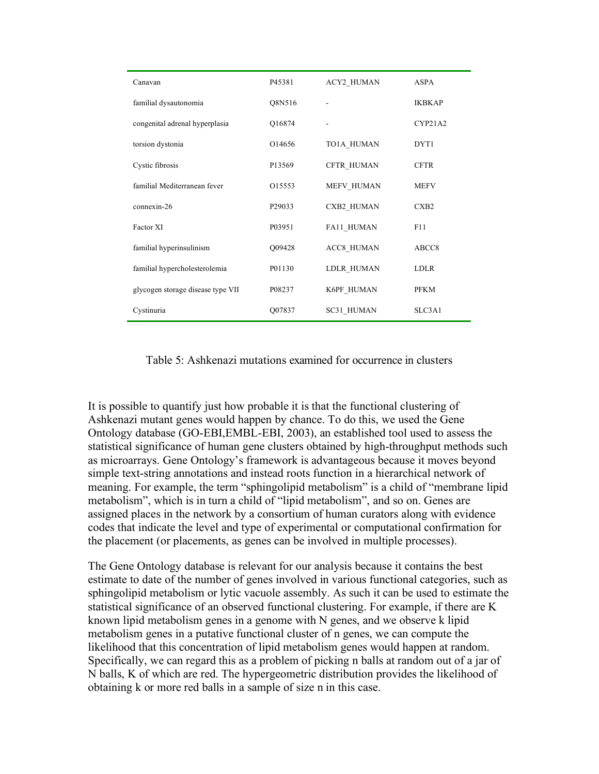| Canavan                           | P45381             | <b>ACY2 HUMAN</b> | <b>ASPA</b>      |
|-----------------------------------|--------------------|-------------------|------------------|
| familial dysautonomia             | Q8N516             |                   | <b>IKBKAP</b>    |
| congenital adrenal hyperplasia    | Q16874             |                   | CYP21A2          |
| torsion dystonia                  | O14656             | TO1A HUMAN        | DYT1             |
| Cystic fibrosis                   | P13569             | <b>CFTR HUMAN</b> | <b>CFTR</b>      |
| familial Mediterranean fever      | O15553             | MEFV HUMAN        | <b>MEFV</b>      |
| connexin-26                       | P <sub>29033</sub> | CXB2 HUMAN        | CX <sub>B2</sub> |
| Factor XI                         | P03951             | FA11 HUMAN        | F11              |
| familial hyperinsulinism          | O09428             | ACC8 HUMAN        | ABCC8            |
| familial hypercholesterolemia     | P01130             | LDLR HUMAN        | LDLR.            |
| glycogen storage disease type VII | P08237             | K6PF HUMAN        | <b>PFKM</b>      |
| Cystinuria                        | Q07837             | SC31 HUMAN        | SLC3A1           |

Table 5: Ashkenazi mutations examined for occurrence in clusters

It is possible to quantify just how probable it is that the functional clustering of Ashkenazi mutant genes would happen by chance. To do this, we used the Gene Ontology database (GO-EBI,EMBL-EBI, 2003), an established tool used to assess the statistical significance of human gene clusters obtained by high-throughput methods such as microarrays. Gene Ontology's framework is advantageous because it moves beyond simple text-string annotations and instead roots function in a hierarchical network of meaning. For example, the term "sphingolipid metabolism" is a child of "membrane lipid metabolism", which is in turn a child of "lipid metabolism", and so on. Genes are assigned places in the network by a consortium of human curators along with evidence codes that indicate the level and type of experimental or computational confirmation for the placement (or placements, as genes can be involved in multiple processes).

The Gene Ontology database is relevant for our analysis because it contains the best estimate to date of the number of genes involved in various functional categories, such as sphingolipid metabolism or lytic vacuole assembly. As such it can be used to estimate the statistical significance of an observed functional clustering. For example, if there are K known lipid metabolism genes in a genome with N genes, and we observe k lipid metabolism genes in a putative functional cluster of n genes, we can compute the likelihood that this concentration of lipid metabolism genes would happen at random. Specifically, we can regard this as a problem of picking n balls at random out of a jar of N balls, K of which are red. The hypergeometric distribution provides the likelihood of obtaining k or more red balls in a sample of size n in this case.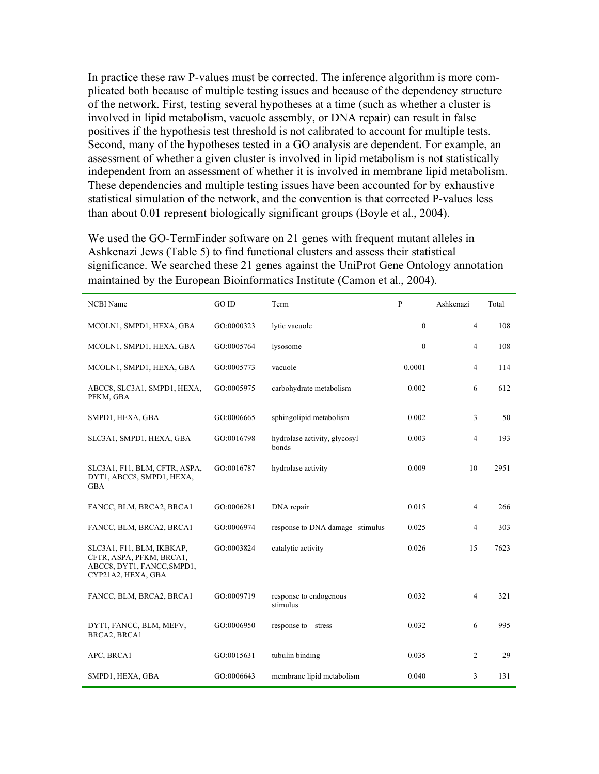In practice these raw P-values must be corrected. The inference algorithm is more complicated both because of multiple testing issues and because of the dependency structure of the network. First, testing several hypotheses at a time (such as whether a cluster is involved in lipid metabolism, vacuole assembly, or DNA repair) can result in false positives if the hypothesis test threshold is not calibrated to account for multiple tests. Second, many of the hypotheses tested in a GO analysis are dependent. For example, an assessment of whether a given cluster is involved in lipid metabolism is not statistically independent from an assessment of whether it is involved in membrane lipid metabolism. These dependencies and multiple testing issues have been accounted for by exhaustive statistical simulation of the network, and the convention is that corrected P-values less than about 0.01 represent biologically significant groups (Boyle et al., 2004).

We used the GO-TermFinder software on 21 genes with frequent mutant alleles in Ashkenazi Jews (Table 5) to find functional clusters and assess their statistical significance. We searched these 21 genes against the UniProt Gene Ontology annotation maintained by the European Bioinformatics Institute (Camon et al., 2004).

| <b>NCBI</b> Name                                                                                          | GO ID      | Term                                  | $\mathbf{P}$     | Ashkenazi      | Total |
|-----------------------------------------------------------------------------------------------------------|------------|---------------------------------------|------------------|----------------|-------|
| MCOLN1, SMPD1, HEXA, GBA                                                                                  | GO:0000323 | lytic vacuole                         | $\mathbf{0}$     | 4              | 108   |
| MCOLN1, SMPD1, HEXA, GBA                                                                                  | GO:0005764 | lysosome                              | $\boldsymbol{0}$ | 4              | 108   |
| MCOLN1, SMPD1, HEXA, GBA                                                                                  | GO:0005773 | vacuole                               | 0.0001           | $\overline{4}$ | 114   |
| ABCC8, SLC3A1, SMPD1, HEXA,<br>PFKM, GBA                                                                  | GO:0005975 | carbohydrate metabolism               | 0.002            | 6              | 612   |
| SMPD1, HEXA, GBA                                                                                          | GO:0006665 | sphingolipid metabolism               | 0.002            | 3              | 50    |
| SLC3A1, SMPD1, HEXA, GBA                                                                                  | GO:0016798 | hydrolase activity, glycosyl<br>bonds | 0.003            | $\overline{4}$ | 193   |
| SLC3A1, F11, BLM, CFTR, ASPA,<br>DYT1, ABCC8, SMPD1, HEXA,<br><b>GBA</b>                                  | GO:0016787 | hydrolase activity                    | 0.009            | 10             | 2951  |
| FANCC, BLM, BRCA2, BRCA1                                                                                  | GO:0006281 | DNA repair                            | 0.015            | 4              | 266   |
| FANCC, BLM, BRCA2, BRCA1                                                                                  | GO:0006974 | response to DNA damage stimulus       | 0.025            | 4              | 303   |
| SLC3A1, F11, BLM, IKBKAP,<br>CFTR, ASPA, PFKM, BRCA1,<br>ABCC8, DYT1, FANCC, SMPD1,<br>CYP21A2, HEXA, GBA | GO:0003824 | catalytic activity                    | 0.026            | 15             | 7623  |
| FANCC, BLM, BRCA2, BRCA1                                                                                  | GO:0009719 | response to endogenous<br>stimulus    | 0.032            | 4              | 321   |
| DYT1, FANCC, BLM, MEFV,<br>BRCA2, BRCA1                                                                   | GO:0006950 | response to stress                    | 0.032            | 6              | 995   |
| APC, BRCA1                                                                                                | GO:0015631 | tubulin binding                       | 0.035            | 2              | 29    |
| SMPD1, HEXA, GBA                                                                                          | GO:0006643 | membrane lipid metabolism             | 0.040            | 3              | 131   |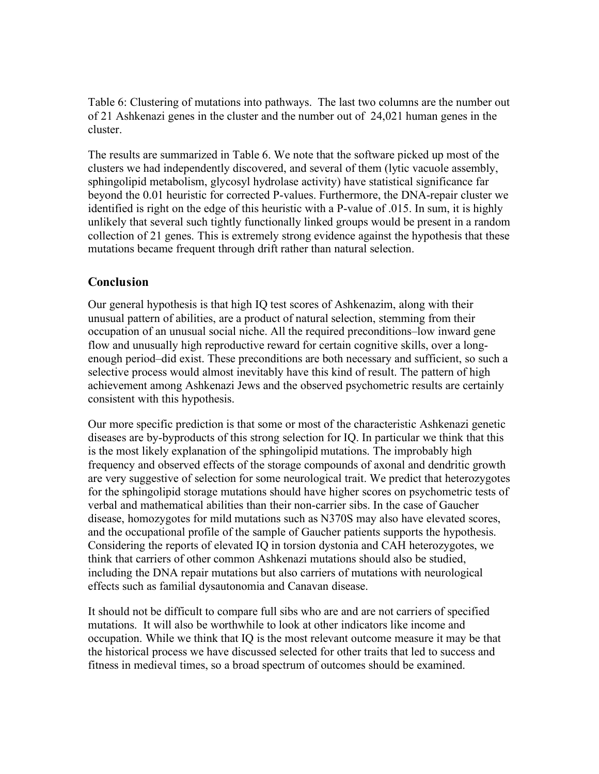Table 6: Clustering of mutations into pathways. The last two columns are the number out of 21 Ashkenazi genes in the cluster and the number out of 24,021 human genes in the cluster.

The results are summarized in Table 6. We note that the software picked up most of the clusters we had independently discovered, and several of them (lytic vacuole assembly, sphingolipid metabolism, glycosyl hydrolase activity) have statistical significance far beyond the 0.01 heuristic for corrected P-values. Furthermore, the DNA-repair cluster we identified is right on the edge of this heuristic with a P-value of .015. In sum, it is highly unlikely that several such tightly functionally linked groups would be present in a random collection of 21 genes. This is extremely strong evidence against the hypothesis that these mutations became frequent through drift rather than natural selection.

## **Conclusion**

Our general hypothesis is that high IQ test scores of Ashkenazim, along with their unusual pattern of abilities, are a product of natural selection, stemming from their occupation of an unusual social niche. All the required preconditions–low inward gene flow and unusually high reproductive reward for certain cognitive skills, over a longenough period–did exist. These preconditions are both necessary and sufficient, so such a selective process would almost inevitably have this kind of result. The pattern of high achievement among Ashkenazi Jews and the observed psychometric results are certainly consistent with this hypothesis.

Our more specific prediction is that some or most of the characteristic Ashkenazi genetic diseases are by-byproducts of this strong selection for IQ. In particular we think that this is the most likely explanation of the sphingolipid mutations. The improbably high frequency and observed effects of the storage compounds of axonal and dendritic growth are very suggestive of selection for some neurological trait. We predict that heterozygotes for the sphingolipid storage mutations should have higher scores on psychometric tests of verbal and mathematical abilities than their non-carrier sibs. In the case of Gaucher disease, homozygotes for mild mutations such as N370S may also have elevated scores, and the occupational profile of the sample of Gaucher patients supports the hypothesis. Considering the reports of elevated IQ in torsion dystonia and CAH heterozygotes, we think that carriers of other common Ashkenazi mutations should also be studied, including the DNA repair mutations but also carriers of mutations with neurological effects such as familial dysautonomia and Canavan disease.

It should not be difficult to compare full sibs who are and are not carriers of specified mutations. It will also be worthwhile to look at other indicators like income and occupation. While we think that IQ is the most relevant outcome measure it may be that the historical process we have discussed selected for other traits that led to success and fitness in medieval times, so a broad spectrum of outcomes should be examined.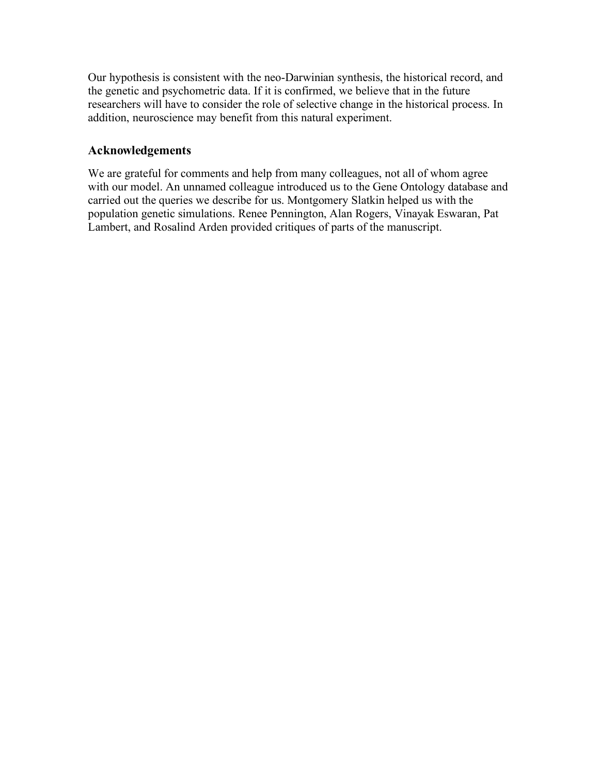Our hypothesis is consistent with the neo-Darwinian synthesis, the historical record, and the genetic and psychometric data. If it is confirmed, we believe that in the future researchers will have to consider the role of selective change in the historical process. In addition, neuroscience may benefit from this natural experiment.

### **Acknowledgements**

We are grateful for comments and help from many colleagues, not all of whom agree with our model. An unnamed colleague introduced us to the Gene Ontology database and carried out the queries we describe for us. Montgomery Slatkin helped us with the population genetic simulations. Renee Pennington, Alan Rogers, Vinayak Eswaran, Pat Lambert, and Rosalind Arden provided critiques of parts of the manuscript.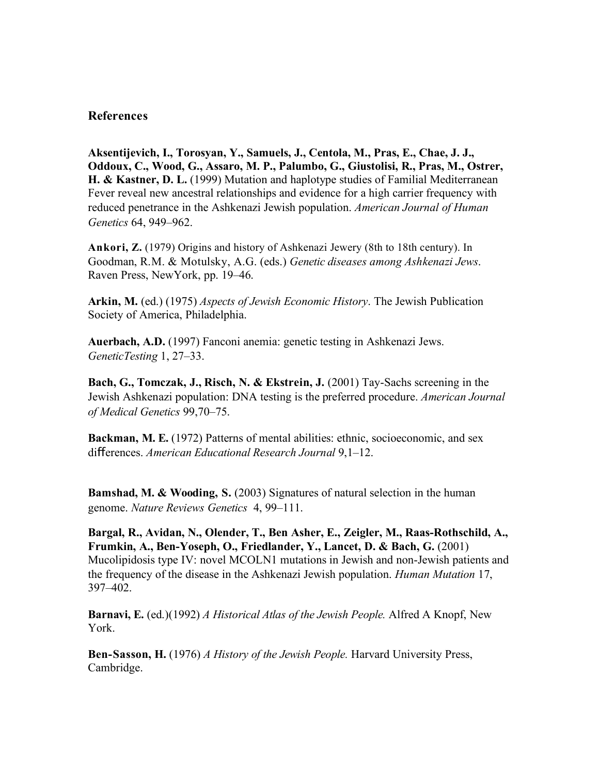#### **References**

**Aksentijevich, I., Torosyan, Y., Samuels, J., Centola, M., Pras, E., Chae, J. J., Oddoux, C., Wood, G., Assaro, M. P., Palumbo, G., Giustolisi, R., Pras, M., Ostrer, H. & Kastner, D. L.** (1999) Mutation and haplotype studies of Familial Mediterranean Fever reveal new ancestral relationships and evidence for a high carrier frequency with reduced penetrance in the Ashkenazi Jewish population. *American Journal of Human Genetics* 64, 949–962.

**Ankori, Z.** (1979) Origins and history of Ashkenazi Jewery (8th to 18th century). In Goodman, R.M. & Motulsky, A.G. (eds.) *Genetic diseases among Ashkenazi Jews*. Raven Press, NewYork, pp. 19–46.

**Arkin, M.** (ed.) (1975) *Aspects of Jewish Economic History*. The Jewish Publication Society of America, Philadelphia.

**Auerbach, A.D.** (1997) Fanconi anemia: genetic testing in Ashkenazi Jews. *GeneticTesting* 1, 27–33.

**Bach, G., Tomczak, J., Risch, N. & Ekstrein, J.** (2001) Tay-Sachs screening in the Jewish Ashkenazi population: DNA testing is the preferred procedure. *American Journal of Medical Genetics* 99,70–75.

**Backman, M. E.** (1972) Patterns of mental abilities: ethnic, socioeconomic, and sex di!erences. *American Educational Research Journal* 9,1–12.

**Bamshad, M. & Wooding, S.** (2003) Signatures of natural selection in the human genome. *Nature Reviews Genetics* 4, 99–111.

**Bargal, R., Avidan, N., Olender, T., Ben Asher, E., Zeigler, M., Raas-Rothschild, A., Frumkin, A., Ben-Yoseph, O., Friedlander, Y., Lancet, D. & Bach, G.** (2001) Mucolipidosis type IV: novel MCOLN1 mutations in Jewish and non-Jewish patients and the frequency of the disease in the Ashkenazi Jewish population. *Human Mutation* 17, 397–402.

**Barnavi, E.** (ed.)(1992) *A Historical Atlas of the Jewish People.* Alfred A Knopf, New York.

**Ben-Sasson, H.** (1976) *A History of the Jewish People.* Harvard University Press, Cambridge.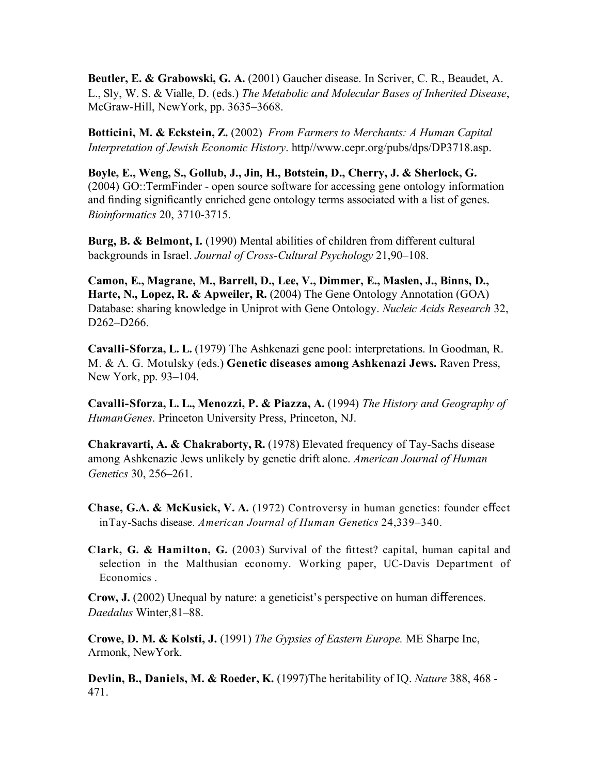**Beutler, E. & Grabowski, G. A.** (2001) Gaucher disease. In Scriver, C. R., Beaudet, A. L., Sly, W. S. & Vialle, D. (eds.) *The Metabolic and Molecular Bases of Inherited Disease*, McGraw-Hill, NewYork, pp. 3635–3668.

**Botticini, M. & Eckstein, Z.** (2002) *From Farmers to Merchants: A Human Capital Interpretation of Jewish Economic History*. http//www.cepr.org/pubs/dps/DP3718.asp.

**Boyle, E., Weng, S., Gollub, J., Jin, H., Botstein, D., Cherry, J. & Sherlock, G.** (2004) GO::TermFinder - open source software for accessing gene ontology information and finding significantly enriched gene ontology terms associated with a list of genes. *Bioinformatics* 20, 3710-3715.

**Burg, B. & Belmont, I.** (1990) Mental abilities of children from different cultural backgrounds in Israel. *Journal of Cross-Cultural Psychology* 21,90–108.

**Camon, E., Magrane, M., Barrell, D., Lee, V., Dimmer, E., Maslen, J., Binns, D., Harte, N., Lopez, R. & Apweiler, R.** (2004) The Gene Ontology Annotation (GOA) Database: sharing knowledge in Uniprot with Gene Ontology. *Nucleic Acids Research* 32, D262–D266.

**Cavalli-Sforza, L. L.** (1979) The Ashkenazi gene pool: interpretations. In Goodman, R. M. & A. G. Motulsky (eds.) **Genetic diseases among Ashkenazi Jews.** Raven Press, New York, pp. 93–104.

**Cavalli-Sforza, L. L., Menozzi, P. & Piazza, A.** (1994) *The History and Geography of HumanGenes*. Princeton University Press, Princeton, NJ.

**Chakravarti, A. & Chakraborty, R.** (1978) Elevated frequency of Tay-Sachs disease among Ashkenazic Jews unlikely by genetic drift alone. *American Journal of Human Genetics* 30, 256–261.

**Chase, G.A. & McKusick, V. A.** (1972) Controversy in human genetics: founder effect inTay-Sachs disease. *American Journal of Human Genetics* 24,339–340.

**Clark, G. & Hamilton, G.** (2003) Survival of the fittest? capital, human capital and selection in the Malthusian economy. Working paper, UC-Davis Department of Economics .

**Crow, J.** (2002) Unequal by nature: a geneticist's perspective on human differences. *Daedalus* Winter,81–88.

**Crowe, D. M. & Kolsti, J.** (1991) *The Gypsies of Eastern Europe.* ME Sharpe Inc, Armonk, NewYork.

**Devlin, B., Daniels, M. & Roeder, K.** (1997)The heritability of IQ. *Nature* 388, 468 - 471.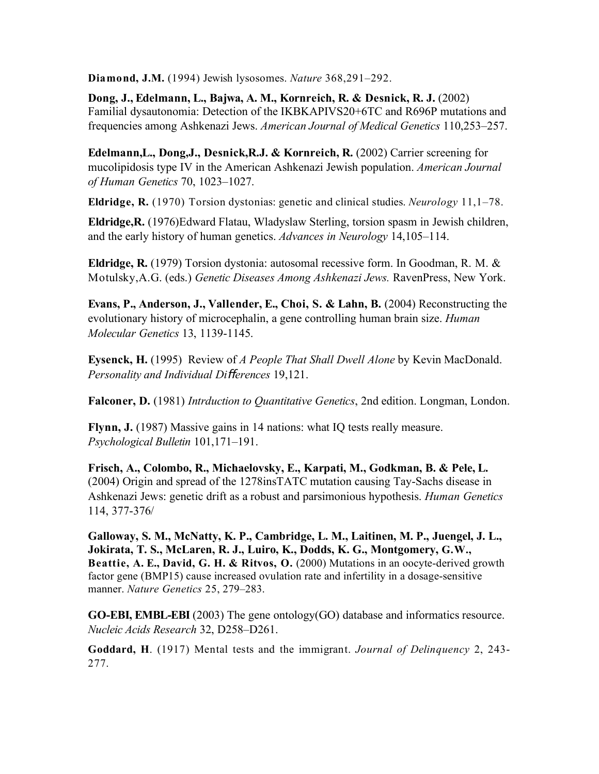**Diamond, J.M.** (1994) Jewish lysosomes. *Nature* 368,291–292.

**Dong, J., Edelmann, L., Bajwa, A. M., Kornreich, R. & Desnick, R. J.** (2002) Familial dysautonomia: Detection of the IKBKAPIVS20+6TC and R696P mutations and frequencies among Ashkenazi Jews. *American Journal of Medical Genetics* 110,253–257.

**Edelmann,L., Dong,J., Desnick,R.J. & Kornreich, R.** (2002) Carrier screening for mucolipidosis type IV in the American Ashkenazi Jewish population. *American Journal of Human Genetics* 70, 1023–1027.

**Eldridge, R.** (1970) Torsion dystonias: genetic and clinical studies. *Neurology* 11,1–78.

**Eldridge,R.** (1976)Edward Flatau, Wladyslaw Sterling, torsion spasm in Jewish children, and the early history of human genetics. *Advances in Neurology* 14,105–114.

**Eldridge, R.** (1979) Torsion dystonia: autosomal recessive form. In Goodman, R. M. & Motulsky,A.G. (eds.) *Genetic Diseases Among Ashkenazi Jews.* RavenPress, New York.

**Evans, P., Anderson, J., Vallender, E., Choi, S. & Lahn, B.** (2004) Reconstructing the evolutionary history of microcephalin, a gene controlling human brain size. *Human Molecular Genetics* 13, 1139-1145.

**Eysenck, H.** (1995) Review of *A People That Shall Dwell Alone* by Kevin MacDonald. *Personality and Individual Di*!*erences* 19,121.

**Falconer, D.** (1981) *Intrduction to Quantitative Genetics*, 2nd edition. Longman, London.

**Flynn, J.** (1987) Massive gains in 14 nations: what IQ tests really measure. *Psychological Bulletin* 101,171–191.

**Frisch, A., Colombo, R., Michaelovsky, E., Karpati, M., Godkman, B. & Pele, L.** (2004) Origin and spread of the 1278insTATC mutation causing Tay-Sachs disease in Ashkenazi Jews: genetic drift as a robust and parsimonious hypothesis. *Human Genetics* 114, 377-376/

**Galloway, S. M., McNatty, K. P., Cambridge, L. M., Laitinen, M. P., Juengel, J. L., Jokirata, T. S., McLaren, R. J., Luiro, K., Dodds, K. G., Montgomery, G.W., Beattie, A. E., David, G. H. & Ritvos, O.** (2000) Mutations in an oocyte-derived growth factor gene (BMP15) cause increased ovulation rate and infertility in a dosage-sensitive manner. *Nature Genetics* 25, 279–283.

**GO-EBI, EMBL-EBI** (2003) The gene ontology(GO) database and informatics resource. *Nucleic Acids Research* 32, D258–D261.

**Goddard, H**. (1917) Mental tests and the immigrant. *Journal of Delinquency* 2, 243- 277.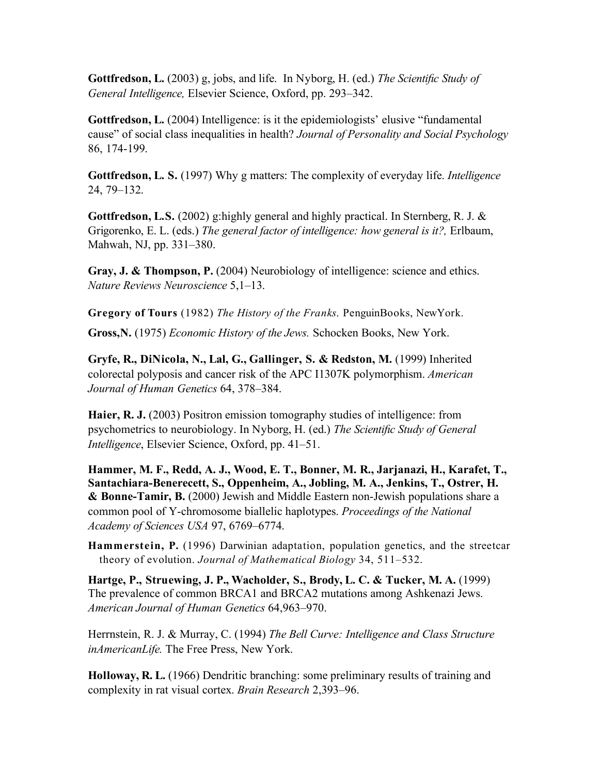**Gottfredson, L.** (2003) g, jobs, and life. In Nyborg, H. (ed.) *The Scientific Study of General Intelligence,* Elsevier Science, Oxford, pp. 293–342.

**Gottfredson, L.** (2004) Intelligence: is it the epidemiologists' elusive "fundamental cause" of social class inequalities in health? *Journal of Personality and Social Psychology* 86, 174-199.

**Gottfredson, L. S.** (1997) Why g matters: The complexity of everyday life. *Intelligence* 24, 79–132.

**Gottfredson, L.S.** (2002) g:highly general and highly practical. In Sternberg, R. J. & Grigorenko, E. L. (eds.) *The general factor of intelligence: how general is it?,* Erlbaum, Mahwah, NJ, pp. 331–380.

**Gray, J. & Thompson, P.** (2004) Neurobiology of intelligence: science and ethics. *Nature Reviews Neuroscience* 5,1–13.

**Gregory of Tours** (1982) *The History of the Franks*. PenguinBooks, NewYork.

**Gross,N.** (1975) *Economic History of the Jews.* Schocken Books, New York.

**Gryfe, R., DiNicola, N., Lal, G., Gallinger, S. & Redston, M.** (1999) Inherited colorectal polyposis and cancer risk of the APC I1307K polymorphism. *American Journal of Human Genetics* 64, 378–384.

**Haier, R. J.** (2003) Positron emission tomography studies of intelligence: from psychometrics to neurobiology. In Nyborg, H. (ed.) *The Scientific Study of General Intelligence*, Elsevier Science, Oxford, pp. 41–51.

**Hammer, M. F., Redd, A. J., Wood, E. T., Bonner, M. R., Jarjanazi, H., Karafet, T., Santachiara-Benerecett, S., Oppenheim, A., Jobling, M. A., Jenkins, T., Ostrer, H. & Bonne-Tamir, B.** (2000) Jewish and Middle Eastern non-Jewish populations share a common pool of Y-chromosome biallelic haplotypes. *Proceedings of the National Academy of Sciences USA* 97, 6769–6774.

**Hammerstein, P.** (1996) Darwinian adaptation, population genetics, and the streetcar theory of evolution. *Journal of Mathematical Biology* 34, 511–532.

**Hartge, P., Struewing, J. P., Wacholder, S., Brody, L. C. & Tucker, M. A.** (1999) The prevalence of common BRCA1 and BRCA2 mutations among Ashkenazi Jews. *American Journal of Human Genetics* 64,963–970.

Herrnstein, R. J. & Murray, C. (1994) *The Bell Curve: Intelligence and Class Structure inAmericanLife.* The Free Press, New York.

**Holloway, R. L.** (1966) Dendritic branching: some preliminary results of training and complexity in rat visual cortex. *Brain Research* 2,393–96.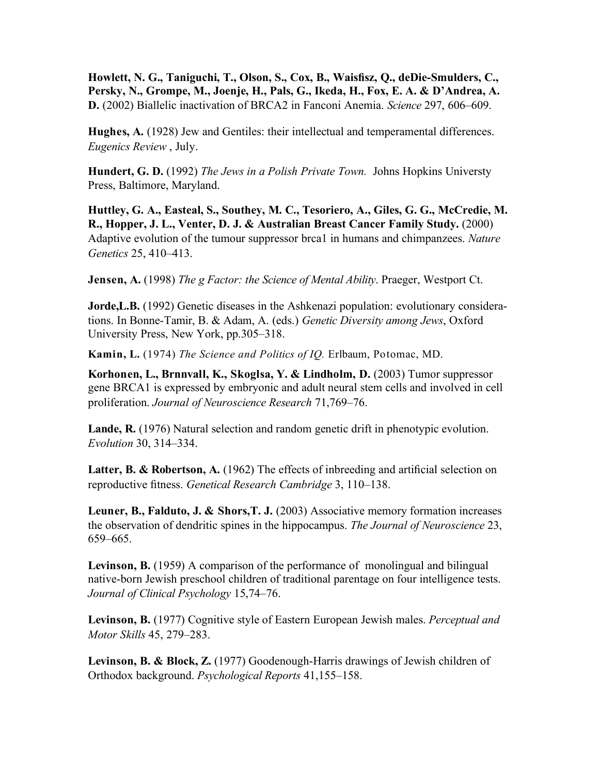**Howlett, N. G., Taniguchi, T., Olson, S., Cox, B., Waisfisz, Q., deDie-Smulders, C., Persky, N., Grompe, M., Joenje, H., Pals, G., Ikeda, H., Fox, E. A. & D'Andrea, A. D.** (2002) Biallelic inactivation of BRCA2 in Fanconi Anemia. *Science* 297, 606–609.

**Hughes, A.** (1928) Jew and Gentiles: their intellectual and temperamental differences. *Eugenics Review* , July.

**Hundert, G. D.** (1992) *The Jews in a Polish Private Town.* Johns Hopkins Universty Press, Baltimore, Maryland.

**Huttley, G. A., Easteal, S., Southey, M. C., Tesoriero, A., Giles, G. G., McCredie, M. R., Hopper, J. L., Venter, D. J. & Australian Breast Cancer Family Study.** (2000) Adaptive evolution of the tumour suppressor brca1 in humans and chimpanzees. *Nature Genetics* 25, 410–413.

**Jensen, A.** (1998) *The g Factor: the Science of Mental Ability*. Praeger, Westport Ct.

**Jorde, L.B.** (1992) Genetic diseases in the Ashkenazi population: evolutionary considerations. In Bonne-Tamir, B. & Adam, A. (eds.) *Genetic Diversity among Jews*, Oxford University Press, New York, pp.305–318.

**Kamin, L.** (1974) *The Science and Politics of IQ.* Erlbaum, Potomac, MD.

**Korhonen, L., Brnnvall, K., Skoglsa, Y. & Lindholm, D.** (2003) Tumor suppressor gene BRCA1 is expressed by embryonic and adult neural stem cells and involved in cell proliferation. *Journal of Neuroscience Research* 71,769–76.

**Lande, R.** (1976) Natural selection and random genetic drift in phenotypic evolution. *Evolution* 30, 314–334.

**Latter, B. & Robertson, A.** (1962) The effects of inbreeding and artificial selection on reproductive fitness. *Genetical Research Cambridge* 3, 110–138.

**Leuner, B., Falduto, J. & Shors,T. J.** (2003) Associative memory formation increases the observation of dendritic spines in the hippocampus. *The Journal of Neuroscience* 23, 659–665.

**Levinson, B.** (1959) A comparison of the performance of monolingual and bilingual native-born Jewish preschool children of traditional parentage on four intelligence tests. *Journal of Clinical Psychology* 15,74–76.

**Levinson, B.** (1977) Cognitive style of Eastern European Jewish males. *Perceptual and Motor Skills* 45, 279–283.

**Levinson, B. & Block, Z.** (1977) Goodenough-Harris drawings of Jewish children of Orthodox background. *Psychological Reports* 41,155–158.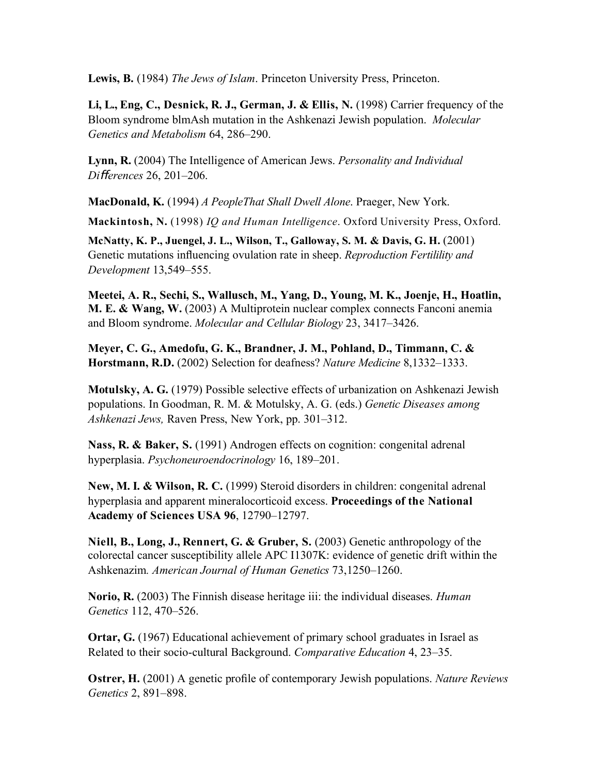**Lewis, B.** (1984) *The Jews of Islam*. Princeton University Press, Princeton.

**Li, L., Eng, C., Desnick, R. J., German, J. & Ellis, N.** (1998) Carrier frequency of the Bloom syndrome blmAsh mutation in the Ashkenazi Jewish population. *Molecular Genetics and Metabolism* 64, 286–290.

**Lynn, R.** (2004) The Intelligence of American Jews. *Personality and Individual Di*!*erences* 26, 201–206.

**MacDonald, K.** (1994) *A PeopleThat Shall Dwell Alone*. Praeger, New York.

**Mackintosh, N.** (1998) *IQ and Human Intelligence*. Oxford University Press, Oxford.

**McNatty, K. P., Juengel, J. L., Wilson, T., Galloway, S. M. & Davis, G. H.** (2001) Genetic mutations influencing ovulation rate in sheep. *Reproduction Fertilility and Development* 13,549–555.

**Meetei, A. R., Sechi, S., Wallusch, M., Yang, D., Young, M. K., Joenje, H., Hoatlin, M. E. & Wang, W.** (2003) A Multiprotein nuclear complex connects Fanconi anemia and Bloom syndrome. *Molecular and Cellular Biology* 23, 3417–3426.

**Meyer, C. G., Amedofu, G. K., Brandner, J. M., Pohland, D., Timmann, C. & Horstmann, R.D.** (2002) Selection for deafness? *Nature Medicine* 8,1332–1333.

**Motulsky, A. G.** (1979) Possible selective effects of urbanization on Ashkenazi Jewish populations. In Goodman, R. M. & Motulsky, A. G. (eds.) *Genetic Diseases among Ashkenazi Jews,* Raven Press, New York, pp. 301–312.

**Nass, R. & Baker, S.** (1991) Androgen effects on cognition: congenital adrenal hyperplasia. *Psychoneuroendocrinology* 16, 189–201.

**New, M. I. & Wilson, R. C.** (1999) Steroid disorders in children: congenital adrenal hyperplasia and apparent mineralocorticoid excess. **Proceedings of the National Academy of Sciences USA 96**, 12790–12797.

**Niell, B., Long, J., Rennert, G. & Gruber, S.** (2003) Genetic anthropology of the colorectal cancer susceptibility allele APC I1307K: evidence of genetic drift within the Ashkenazim*. American Journal of Human Genetics* 73,1250–1260.

**Norio, R.** (2003) The Finnish disease heritage iii: the individual diseases. *Human Genetics* 112, 470–526.

**Ortar, G.** (1967) Educational achievement of primary school graduates in Israel as Related to their socio-cultural Background. *Comparative Education* 4, 23–35.

**Ostrer, H.** (2001) A genetic profile of contemporary Jewish populations. *Nature Reviews Genetics* 2, 891–898.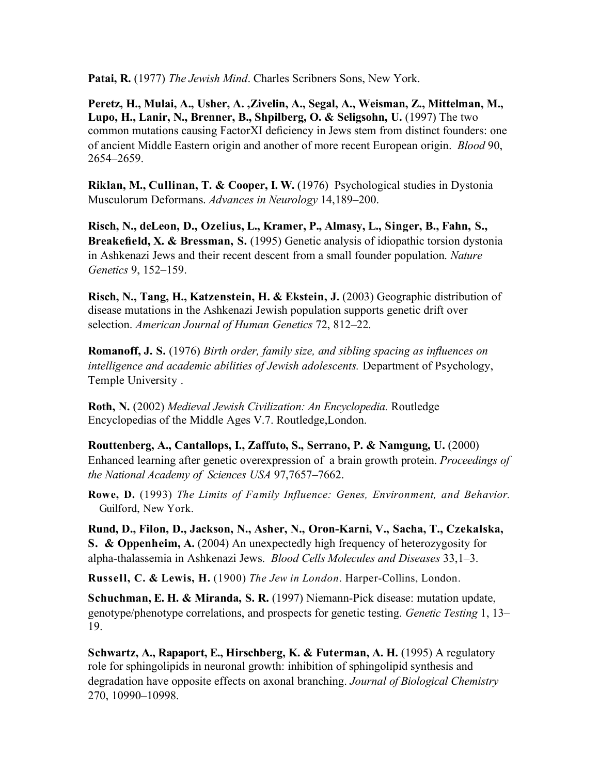**Patai, R.** (1977) *The Jewish Mind*. Charles Scribners Sons, New York.

**Peretz, H., Mulai, A., Usher, A. ,Zivelin, A., Segal, A., Weisman, Z., Mittelman, M., Lupo, H., Lanir, N., Brenner, B., Shpilberg, O. & Seligsohn, U.** (1997) The two common mutations causing FactorXI deficiency in Jews stem from distinct founders: one of ancient Middle Eastern origin and another of more recent European origin. *Blood* 90, 2654–2659.

**Riklan, M., Cullinan, T. & Cooper, I. W.** (1976) Psychological studies in Dystonia Musculorum Deformans. *Advances in Neurology* 14,189–200.

**Risch, N., deLeon, D., Ozelius, L., Kramer, P., Almasy, L., Singer, B., Fahn, S., Breakefield, X. & Bressman, S.** (1995) Genetic analysis of idiopathic torsion dystonia in Ashkenazi Jews and their recent descent from a small founder population. *Nature Genetics* 9, 152–159.

**Risch, N., Tang, H., Katzenstein, H. & Ekstein, J.** (2003) Geographic distribution of disease mutations in the Ashkenazi Jewish population supports genetic drift over selection. *American Journal of Human Genetics* 72, 812–22.

**Romanoff, J. S.** (1976) *Birth order, family size, and sibling spacing as influences on intelligence and academic abilities of Jewish adolescents.* Department of Psychology, Temple University .

**Roth, N.** (2002) *Medieval Jewish Civilization: An Encyclopedia.* Routledge Encyclopedias of the Middle Ages V.7. Routledge,London.

**Routtenberg, A., Cantallops, I., Zaffuto, S., Serrano, P. & Namgung, U.** (2000) Enhanced learning after genetic overexpression of a brain growth protein. *Proceedings of the National Academy of Sciences USA* 97,7657–7662.

**Rowe, D.** (1993) *The Limits of Family Influence: Genes, Environment, and Behavior.* Guilford, New York.

**Rund, D., Filon, D., Jackson, N., Asher, N., Oron-Karni, V., Sacha, T., Czekalska, S. & Oppenheim, A.** (2004) An unexpectedly high frequency of heterozygosity for alpha-thalassemia in Ashkenazi Jews. *Blood Cells Molecules and Diseases* 33,1–3.

**Russell, C. & Lewis, H.** (1900) *The Jew in London*. Harper-Collins, London.

**Schuchman, E. H. & Miranda, S. R.** (1997) Niemann-Pick disease: mutation update, genotype/phenotype correlations, and prospects for genetic testing. *Genetic Testing* 1, 13– 19.

**Schwartz, A., Rapaport, E., Hirschberg, K. & Futerman, A. H.** (1995) A regulatory role for sphingolipids in neuronal growth: inhibition of sphingolipid synthesis and degradation have opposite effects on axonal branching. *Journal of Biological Chemistry* 270, 10990–10998.